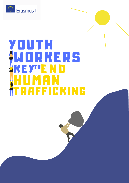

# Y O U T H W O R K E R S KEY"E N D <u>HUMAN</u> T R A F F I C K I N G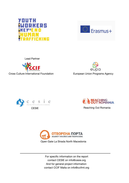



Lead Partner



Cross Culture International Foundation **European Union Programs Agency** 

eupa





CESIE Reaching Out Romania



For specific information on the report contact CESIE on info@cesie.org And for general project information contact CCIF Malta on info@ccifmt.org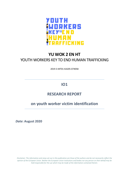

# **YU WOK 2 EN HT**  YOUTH WORKERS KEY TO END HUMAN TRAFFICKING

2019-3-MT01-KA205-074058

# **IO1**

# **RESEARCH REPORT**

# **on youth worker victim identification**

*Date***: August 2020**

*Disclaimer: The information and views set out in this publication are those of the authors and do not necesserily reflect the opinion of the European Union. Neither the European Union institutions and bodies nor any person on their behalf may be held responsible for the use which may be made of the information contained therein.*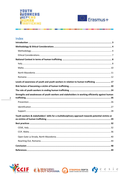

**ON THE REAL PROPERTY AND INCOME.** 



. .

# Index

 $\overline{\phantom{a}}$ 

**STATE OF BUILDING** 

| Levels of awareness of youth and youth workers in relation to human trafficking  17                |
|----------------------------------------------------------------------------------------------------|
|                                                                                                    |
|                                                                                                    |
| Strengths and weaknesses of youth workers and stakeholders in working efficiently against human    |
|                                                                                                    |
|                                                                                                    |
|                                                                                                    |
|                                                                                                    |
| Youth workers & stakeholders' skills for a multidisciplinary approach towards potential victims or |
|                                                                                                    |
|                                                                                                    |
|                                                                                                    |
|                                                                                                    |
|                                                                                                    |
|                                                                                                    |
|                                                                                                    |
|                                                                                                    |







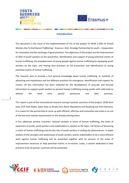



#### **Introduction**

This document is the result of the implementation of IO1 of the project YU WOK 2 END HT (*Youth Workers Key To End Human Trafficking)* - Erasmus + KA2, Strategic Partnership for youth – Cooperation for innovation and the exchange of good practices. The objectives of the project are the improvement of skills of youth workers on the prevention, identification and support of young potential victims of human trafficking, the empowerment of young people against human trafficking by equipping youth workers on the topic, and sharing best practices on the prevention and identification of young potential victims of human trafficking.

The research aims to provide a first general knowledge about human trafficking, its methods of advancing and exploitation and the different practices for emergence, identification and support for victims. All this information has been collected for the development of accurate and focused information to support youth workers to prevent human trafficking among youths with valid tools to address the need area, spread awareness and best practices.

3

This report is part of the transnational research among 4 partner countries of the project: CESIE from Italy, CCIF from Malta, Open Gate La Strada from North Macedonia and Reaching out from Romania. It is a basis for the partnership to come up with efficient, effective and innovative new tools or an out of the box and creative improvement to the already existing items.

It first addresses partner countries' national contexts in terms of human trafficking, the levels of awareness of youth, youth workers and stakeholders in relation to the topic, risk factors of becoming a victim of human trafficking and the key role of youth workers in ending the phenomenon. A needs analysis of the strengths and weaknesses of youth workers and/or stakeholders to do a more efficient work against human trafficking will be presented together with an account of the areas of improvement necessary to help potential victims or ex-victims. Lastly, a section dedicated to best practices from all partner countries will be presented.







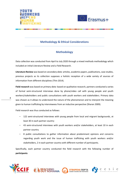



## **Methodology & Ethical Considerations**

## **Methodology**

Data collection was conducted from April to July 2020 through a mixed methods methodology which included an initial Literature Review and a Field Research.

**Literature Review** was based on *secondary data:* articles, academic papers, publications, case studies, previous projects as its collection supposes a holistic reception of a wide variety of sources of information from different disciplines (Thin 2014).

**Field research** was based on *primary data:* based on qualitative research, partners conducted a series of formal semi-structured interviews done by phone/video call with young people and youth workers/stakeholders and public consultations with youth workers and stakeholders. Primary data was chosen as it allows to understand the nature of the phenomenon and to interpret the meaning given to human trafficking by interviewees from an inductive perspective (Sharan 2009).

Field research was thus conducted as follows:

4

- 122 semi-structured interviews with young people from local and migrant backgrounds, at least 30 in each partner country
- 43 semi-structured interviews with youth workers and/or stakeholders, at least 10 in each partner country
- 8 public consultations to gather information about predominant opinions and concerns regarding youth work and the issue of human trafficking with youth workers and/or stakeholders, 2 in each partner country with different number of participants.

Specifically, each partner country conducted the field research with the following number of **participants**:



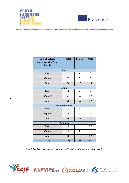

**TELEVISION** 



. .

**State Street, Square** 

**The State of Contract Contract of State** 

| Semi-structured<br>interviews with Young | <b>Total</b> | <b>Female</b> | <b>Male</b>    |
|------------------------------------------|--------------|---------------|----------------|
| <b>People</b>                            |              |               |                |
|                                          | <b>Italy</b> |               |                |
| Local                                    | 15           | 8             | 6              |
| Migrant                                  | 15           | 7             | 9              |
| <b>Total</b>                             | 30           | 15            | 15             |
|                                          | <b>Malta</b> |               |                |
| Local                                    | 3            | 3             | 0              |
| Migrant                                  | 27           | 10            | 17             |
| <b>Total</b>                             | 30           | 13            | 17             |
| <b>North Macedonia</b>                   |              |               |                |
| Local                                    | 25           | 20            | 5              |
| Migrant                                  | 5            | 3             | $\overline{2}$ |
| <b>Total</b>                             | 30           | 23            | $\overline{7}$ |
| <b>Romania</b>                           |              |               |                |
| Local                                    | 32           | 10            | 22             |
| Migrant                                  | 0            | 0             | 0              |
| <b>Total</b>                             | 32           | 10            | 22             |
| <b>TOTAL</b>                             | 122          | 61            | 61             |

*Table 1: Number of participants semi-structured interviews with young people by country*







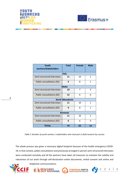



| Youth<br>workers/Stakeholders | <b>Total</b> | <b>Female</b> | <b>Male</b> |
|-------------------------------|--------------|---------------|-------------|
|                               | <b>Italy</b> |               |             |
| Semi-structured interviews    | 11           | 10            | 1           |
| Public consultations (X2)     | 9            | 8             | 1           |
| <b>Malta</b>                  |              |               |             |
| Semi-structured interviews    | 10           | 7             | 3           |
| Public consultations (X2)     | 12           | 6             | 6           |
| <b>North Macedonia</b>        |              |               |             |
| Semi-structured interviews    | 11           | 10            | 1           |
| Public consultations (X2)     | 9            | 8             | 1           |
| Romania                       |              |               |             |
| Semi-structured interviews    | 11           | 10            | 1           |
| Public consultations (X2)     | 6            | 6             | O           |
| <b>TOTAL</b>                  | 79           | 65            | 14          |

*Table 2: Number of youth workers / stakeholders who took part in field research by country*

The whole process was given a necessary digital footprint because of the health emergency COVID-19; in that context, public consultations and previously arranged in-person semi-structured interviews were conducted remotely and all the partners have taken all measures to maintain the validity and robustness of our work through self-declaration online documents, verbal consent and online and



6

telephone communications.



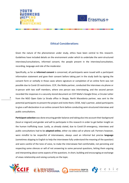



#### **Ethical Considerations**

Given the nature of the phenomenon under study, ethics have been central to this research. Guidelines have included details on the environment under which to undertake the semi-structured interviews/consultations, informed consent, the people present in the interview/consultation, recording, language and role of the moderator.

Specifically, as far as **informed consent** is concerned, all participants were issued with a participant information statement and gave their consent before taking part in the study both by signing the consent form or verbally in those cases where signature or completion of an online form was not possible due to Covid-19 restrictions. CCIF, the Malta partner, conducted the interviews via phone or in-person with two staff members, where one person was interviewing, and the second person recorded the responses in a securely stored document on CCIF Malta's Google Drive; a Circular Letter from the NGO Open Gate La Strada office in Skopje, North Macedonia partner, was sent to the potential participants to present the project and invite them; CESIE, Italy's partner, asked participants to give a self-declaration in an online consent form before conducting semi-structured interviews and public consultations.

**Participant selection** was done ensuring gender balance and taking also into account their background (local or migrant) and gender and will to participate in this research in order to get better insight on the human trafficking issue. Lastly, as already stated, due to Covid-19 emergency, interviews and public consultations had to be **adapted online**, either via video call or phone call. Partners however, were mindful to be respectful of interviewees, always used an informal but precise **language** (sometimes skipping to English to help the interviewee fully understand the meaning of the question) and were careful of the tone of voice, to make the interviewee feel comfortable, not persisting and respecting some silences or will of not answering to some personal questions, letting them arguing and interpreting about some aspects of the questions. In short, building and encouraging an exchange of views relationship and raising curiosity on the topic.







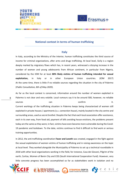



#### **National context in terms of human trafficking**

#### **Italy**

In Italy, according to the Ministry of the Interior, human trafficking constitutes the third source of income for criminal organizations, after arms and drugs trafficking. At local level, Sicily is a region deeply marked by migratory flows which has, in recent years, witnessed a dizzying increase in the number of women and young adolescents from African continent, in particular from Nigeria, considered by the IOM for at least **80% likely victims of human trafficking intended for sexual exploitation,** in Italy or in other European Union countries. (IOM 2017) At the same time, there is little if no reliable sources regarding the situation in the city of Palermo (*Public Consultation, 8th of May 2020*).

As far as the local context is concerned, information around the number of women exploited in Palermo is not clear and very volatile. Local rumours say it to be around 500, however, no reliable sources and can confirm confirm it. Current workings of the trafficking situation in Palermo keeps being characterized of women still exploited in private houses / apartments (s.c. *connection house*), mainly located in the city centre and surrounding areas, used as secret brothel. Despite the fact that each local association offer assistance, each in its own way, from food aid, payment of bills avoiding house evictions, the problems present today are the same as they were; in fact, victims have even become more vulnerable during the Covid-19 pandemic and lockdown. To the date, victims continue to find it difficult to find work or serious training opportunities.

In 2012, the anti-trafficking coordination **Favor and Loveth** was created, engaged in the fight against the sexual exploitation of women victims of human trafficking and in raising awareness on the topic at local level. They worked alongside the Municipality of Palermo to set up a technical roundtable in 2018 with other local organizations working in the field, for instance, Casa dei Giovani, Pilgrim of the earth, Caritas, Women of Benin City and CISS (South International Cooperation Fund). However, very little concrete progress has been accomplished so far as stakeholders work in isolation and no









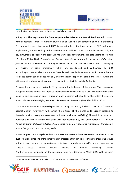



coordinated mechanism has yet been successfully set in motion.

In Italy, it is **The Department for Equal Opportunities (DPO) of the Council Presidency** that covers various activities aimed to monitor, study, and analyse the phenomenon of human trafficking. The data collection system named **SIRIT<sup>1</sup>** is supported by institutional holders as DPO and project implementing entities working in the aforementioned field. For those victims who arrive in Italy, the key instruments to support and assist victims are various government's projects according to article 13 of law n.228 of 2003 "*Establishment of a special assistance program for the victims of the crimes foreseen by articles 600 and 601 of the penal code"* and article 18 of law n.286 of 1998 *"The staying for reasons of social protection",* which are coordinated and co-financed by DPO. According to these articles, the so-called **"double track"** can be implemented, which means that the residence permit can be issued not only after the victim's report but also in those cases where the latter cannot or do not want to report the case or to contact the Judicial Authority.

Crossing the border incorporated by Sicily does not imply the end of the journey. The presence of European borders controls has imposed mobility marked by invisibility; it usually happens they try to blend in long journeys on buses, trucks or other makeshift vehicles. In Northern Italy the crossing major hubs are in **Ventimiglia, Bardonecchia, Como and Brennero.** (Save The Children 2018)

The phenomenon in Italy is expressly punished in our legal system by the law n. 228 of 2003 *"Measures against human trafficking"* with which the articles of the penal code already relating to the reduction into slavery were rewritten (article 601 on human trafficking). The definition of conduct punishable by way of human trafficking was then expanded by legislative decree n. 24 of 2014 *"Implementation of Directive 2011/36/EU, relating to the prevention and repression of trafficking in human beings and the protection of victims*".

A relevant point on the legislative field is the *Security Decree* **- already converted into law n. 132 of 2018** – that abolishes one of the three types of protection that can be recognized to those who arrived in Italy to seek asylum, or humanitarian protection. It introduces a specific type of hypothesis of "special cases", which includes victims of human trafficking victims. Another form of restriction on the reception front was declared in March 2020 with an inter-

 $1$  (Computerized System for the collection of information on the human trafficking)







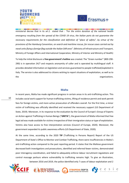



ministerial decree that in its art.1 stated that : *"For the entire duration of the national health emergency resulting from the spread of the COVID 19 virus, the Italian ports do not guarantee the necessary requirements for the classification and definition of "place of safety", by virtue of the provisions of the Hamburg Convention, on search and maritime rescue, for rescue cases carried out by naval units flying a foreign flag outside the Italian SAR area".* (Ministry of Infrastructure and Transport, Ministry of Foreign Affairs and International Cooperation, Ministry of Interior and Ministry of Health)

To help the initial disclosure a **free government's hotline** was created. The "Green number" (800-290- 290) is in operation 24/7 and respects anonymity of caller and is operated by multilingual staff. It provides detailed information on legislation and services guaranteed to people trafficked/exploited in Italy. The service is also addressed to citizens wishing to report situations of exploitation, as well as to the organizations. The organizations of the organizations of the organizations of the organizations of the organizations of the organizations of the organizations of the organizations of the organizations of the organizati

#### **Malta**

In recent years, Malta has made significant progress in certain areas in its anti-trafficking action. This includes social work support for human trafficking victims, lifting of residence permit and work permit fees for foreign victims, and more active prosecution of offenders overall. For the first time, a minor victim of trafficking was officially identified and received the necessary support (US Department of State, 2019). Moreover, in its response to the evaluation by the Council of Europe's Group of Experts on Action against Trafficking in Human Beings ("**GRETA**"), the government of Malta informed that free legal aid was made available for victims irrespective of their immigration status or type of exploitation. Victims also have access to free interpretation services (Council of Europe, 2020). Moreover, the government expanded its public awareness efforts (US Department of State, 2020).

At the same time, according to the 2020 **TIP** (Trafficking in Persons Report) Report of the US Department of State's Office to Monitor and Combat Trafficking, there were insufficiencies in Malta's anti-trafficking action compared to the past reporting period. It states that the Maltese government decreased both investigations and prosecutions, identified and referred fewer victims, demonstrated poor interagency coordination, and failed to adequately enforce labour recruitment regulations and control massage parlours where vulnerability to trafficking remains high. To give an illustration, between 2016 and 2019, the police identified only 7 cases of labour exploitation and 2









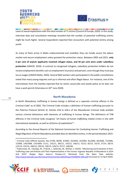



----cases of sexual exploitation with the total number of 71 victims (Council of Europe, 2020). In this study, interview data and consultative meetings revealed that the number of potential trafficking victims might be much higher. Several respondents reported their encounters with potential victims among youth.

As many of them arrive in Malta undocumented and unskilled, they can hardly access the labour market and secure employment unless granted the protection status. Between 2005 and 2015, **only 4 per cent of asylum applicants received refugee status, and 34 per cent were under subsidiary protection** (UNHCR, 2018). In contrast to recognized refugees, subsidiary protection holders do not receive employment benefits such as employment insurance and pension, even though they must pay tax on wages (UNHCR Malta, 2020). Several NGO workers who participated in the public consultations noted that many young migrants end up in informal and often illegal labour. For instance, one of the interviewees from the Gambia reported that he works casual jobs and avoids police as he does not have a work permit (Interview on 26<sup>th</sup> June 2020).

#### **North Macedonia**

In North Macedonia, trafficking in human beings is defined as a separate criminal offence in the Criminal Code<sup>2</sup> as of 2002. The Criminal Code includes a definition of human trafficking pursuant to the Palermo Protocol (Article 3). Articles 418 to 418-e of the Macedonian Criminal Code prohibit various criminal behaviours with elements of trafficking in human beings. The definitions of THB offences in the Criminal Code recognise "*all means of human trafficking related crimes in line with international standards, as well as all forms of exploitation*" 3 .

According to the Annual Reports of the National Commission for Combating Human Trafficking and Illegal Migration of North Macedonia provided data on identified victims, in the period between 2015-

<sup>3</sup> Todorovska, M., Varoslija, M., Frishcik, J., Gelevska, M., Mishev, S. (2016). "Monitoring and Evaluation of Anti-Trafficking Laws and Policies and Their Implementation in the Former Yugoslav Republic of Macedonia In 2014 And 2015" Skopje: Open Gate-La Strada.p.12. Retrieved from the Open Gate website: <http://www.lastrada.org.mk/mainarchive/monitoring%20report%20MAK-ENG.pdf> (accessed on 15 April 2020)









<sup>2</sup> Criminal Code (Official Gazette, Nos.37/96, 80/99, 4/2002, 43/2003, 19/2004, 81/2005, 60/2006, 73/2006, 7/2008, 139/2008, 114/2009, 51/11, 135/11, 185/11, 142/12, 166/12, 55/13, 82/13, 14/14, 27/14, 28/14, 115/14, 132/14, 160/14, 199/14, 196/15, 226/15, 97/17, 248/18)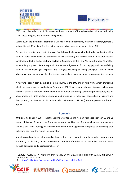



2019 they collected a total of 21 cases of victims of human trafficking having Macedonian nationality (15 of these are girls) and 3 cases of foreign ones.

During 2019, the institutions identified 6 victims of human trafficking, of which 4 children/female, 3 nationalities of RNM, 3 are foreign victims, of which two from Kosovo and 1 from BiH.<sup>4</sup>

Further, the reports states that citizens of North Macedonia along with the foreign victims transiting through North Macedonia are subjected to sex trafficking and forced labour in several sectors: construction, textile and agricultural sectors in Southern, Central, and Western Europe. As another vulnerable group are children, especially Roma, are subjected to forced begging and sex trafficking through forced marriages. Migrants and refugees traveling or being smuggled through North Macedonia are vulnerable to trafficking, particularly women and unaccompanied minors.

A relevant support activity available in the country is the **SOS line** of help from human trafficking, which has been managed by the Open Gate since 2002. Since its establishment, it proved to be one of the most effective methods for the prevention of human trafficking. Operators provide safety tips for jobs abroad, crisis intervention, emotional and physiological help, legal counselling for victims and their parents, relatives etc. In 2019, 348 calls (207 women, 141 men) were registered on the SOS hotline.

#### **Romania**

IOM identified back in 2004<sup>5</sup> that the victims are often young women with ages between 15 and 25 years old. Many of them come from single-parent families, and from small to medium towns in Moldova or Oltenia. Young girls from the Roma community appear more exposed to trafficking than girls same age from the rest of the population.

Interviews and public consultations also showed that there is a no strong value attached to education, but mostly on obtaining money, which reflects the lack of models of success in life that is achieved through education and a professional career.

<sup>&</sup>lt;sup>5</sup> See: [https://publications.iom.int/system/files/pdf/who\\_next\\_victim\\_0.pdf](https://publications.iom.int/system/files/pdf/who_next_victim_0.pdf)









<sup>4</sup> ГОДИШЕН ИЗВЕШТАЈ НА НАЦИОНАЛНАТА КОМИСИЈА ЗА БОРБА ПРОТИВ ТРГОВИЈА СО ЛУЃЕ И ИЛЕГАЛНА МИГРАЦИЈА ЗА 2019 година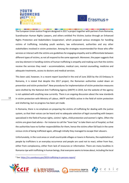



The European Union Justice Program designed in 2017 a project together with partners from Romania, Scandinavian Human Rights Lawyers, and others entitled Pro Victims Justice through an Enhanced Rights Protection and Stakeholders Cooperation<sup>i</sup>, which proposed various strategies for handling victims of trafficking, including youth workers, law enforcement, authorities and any other stakeholders involved in victim protection. Among the strategies recommended for those who offer services or interact with the victims are guidelines for engaging empathy and to differentiate between different types of victims, as not all respond to the same approach. Moreover, the paper suggests that one key element in handling victims of human trafficking is empathy and making sure that the victims receive the services they need – accommodation, medical care, mental counselling, medicine and adequate treatments, access to doctors and medical services.

This been said, however, in a recent report launched in the end of June 2020 by the US Embassy in Romania, it is stated that despite this 2017 project, the Romanian authorities scaled down on prevention and victim protection<sup>6</sup>. New procedures for implementation of victim protection measures were drafted by the National Anti-Trafficking Agency (ANITP) in 2019, but the website of the agency is not updated with anything new currently. There is an ongoing discussion about the new standards in victim protection with Ministry of Labour, ANITP and NGOs active in the field of victim protection and sheltering, but no progress has been yet made.

In Romania, there is no emphasis on preparing the victims of trafficking for dealing with the justice system, so that their voices can be heard and no adequate selection of legal counselling with lawyers specialized in the field of human rights, victims' rights, child protection and women's rights. Often the victims are given bad advice – for instance to call the "lover boy" to take them out of hospital, so that the authorities have no further responsibilities for them, hence the victims often fall back in the same vicious circle of being trafficked again, although initially they managed to escape their abusers.

Unfortunately, in the rural areas or small countryside villages or towns in Romania, the exploitation of people by traffickers is an everyday occurrence and people are used not to react, either from fear, either from complacency, either from lack of resources or information. There are many localities in Romania ripe with trafficking in human beings, that everyone seemsto know about, including the local

<sup>&</sup>lt;sup>6</sup> See:<https://ro.usembassy.gov/2019-trafficking-in-persons-report/>







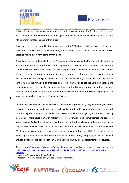



police, without any legal consequences for the traffickers or any protection for the victims. In many local communities the common reaction is against the victims, who are labelled as prostitutes and vilified or incriminated instead of traffickers.

A big challenge is represented by the lack of funds for the NGOs that provide services for victims and the lack of resources for the state funded programs, including medical care and mental health services absolutely compulsory for victims of trafficking.

Recently, by the end of June 2020, the US Ambassador in Romania and the Minister of Justice released a joint statement about the human trafficking networks in Romania and the need to address the rampant increase in trafficking cases<sup>7</sup>. The Minister pointed that under the previous PSD government, the aggressors and traffickers were practically given impunity, but striping the prosecutors of legal tools to enforce the law against them and promised this will change. It was declared that human trafficking and the networks of organized crime in Romania will be tackled until annihilation and combating human trafficking has become a national priority. The new approach underlined the need to act in cooperation with international and European law enforcement for dismantling the pervasive power of human traffickers in the Romanian society.

Nonetheless, regardless of the new measures and strategies proposed by the government, the lack of education, information, and awareness, particularly in vulnerable communities and groups, will continue to produce victims. The need to involve youth workers in the fight against human trafficking in Romania is more acute than ever; moreover, former victims should become trainers and educators as the best qualified ambassadors for educating and informing the society about the trauma and abuse they suffered and how these can be prevented in the future which will hopefully be addressed by the ANTIP $^8$  which has announced a new set of measures in cooperation with DIICOT $^9$  with an accent on increasing the level of information/education and awareness among risk groups, experts in the field, and population, for the period between March-December 2020. Its impact remains to be studied.

<sup>&</sup>lt;sup>9</sup> (Directorate for Investigation of Organized Crime and Terrorism)









<sup>7</sup>See: [https://www.mediafax.ro/social/ambasadorul-sua-apel-la-parlament-sa-lucreze-cu-guvernul-pentru](https://www.mediafax.ro/social/ambasadorul-sua-apel-la-parlament-sa-lucreze-cu-guvernul-pentru-combaterea-traficului-de-persoane-daca-esti-traficant-de-persoane-te-vom-gasi-si-te-vom-pune-sub-arest-19343983)[combaterea-traficului-de-persoane-daca-esti-traficant-de-persoane-te-vom-gasi-si-te-vom-pune-sub-arest-](https://www.mediafax.ro/social/ambasadorul-sua-apel-la-parlament-sa-lucreze-cu-guvernul-pentru-combaterea-traficului-de-persoane-daca-esti-traficant-de-persoane-te-vom-gasi-si-te-vom-pune-sub-arest-19343983)[19343983](https://www.mediafax.ro/social/ambasadorul-sua-apel-la-parlament-sa-lucreze-cu-guvernul-pentru-combaterea-traficului-de-persoane-daca-esti-traficant-de-persoane-te-vom-gasi-si-te-vom-pune-sub-arest-19343983)

<sup>8</sup> (Romanian Agency against Human Trafficking)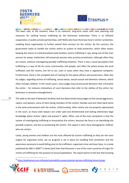



This been said, at the moment, there is no coherent, long-term vision with clear planning and measures for tackling human trafficking by the Romanian authorities. There is no efficient cooperation, in public-private partnerships, with NGOs who have the know-how in victims' protection, enabling those organization to further extend their services for the victims. By the contrary, the government seeks to handle the victims within its system of child protection, which often means keeping the minors in institutionalized state facilities, where trafficking is ripe, being one of the main sources for pimps. Authorities still prosecute persons who practice prostitution, although often they are minors, without investigating possible trafficking networks. There is also a social perception that trafficking is a way of life for some communities and people, and often the police knows the local traffickers and the victims, but fail to act, even in cases when they have a registered complaint. Furthermore, there is the complete lack of training for the police officers and prosecutors, often also for judges, regarding victims of trafficking, sexual abuse, sexual assault and domestic violence, which often includes children. In the recent years, more judges have pronounced decisions that criminalize the victim – for instance motivations of court decisions that refer to the clothes of the victim, her behaviour or previous entanglements.

15 This adds to the lack of detention facilities that has determined many judges to free sexual aggressors, rapists, and abusers, some of them being members of the victims' families and sent them back home in the same environment with the victims. Unfortunately, often victims are not properly represented in the court, as many state lawyers are under paid and disinterested and lacking elementary legal knowledge about victims' rights and women's' rights. Often, one of the main complaints is that the system of investigating trafficking re-traumatizes the victims, because the focus is on identifying the possible suspects, and less on protecting the victims. This aspect is even more damaging for children who are victims.

Lastly, young women and children are the most affected by human trafficking as they are the main targets for organized crime, yet no program is set in place for handling their protection and the awareness necessary to avoid falling prey to the traffickers, organized crime and lover boys. In a study published by IOM in 2004<sup>10</sup> it shows back then that Romania is one of the main countries of origin for victims of trafficking for the purpose of sexual exploitation. The report points to the fact that knowing

<sup>10</sup> <https://publications.iom.int/books/vulnerability-young-romanian-women-trafficking-human-beings>







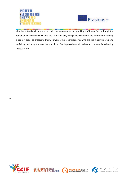



who the potential victims are can help law enforcement for profiling traffickers. Yet, although the Romanian police often know who the traffickers are, being widely known in the community, nothing is done in order to prosecute them. However, the report identifies who are the most vulnerable to trafficking, including the way the school and family provide certain values and models for achieving success in life.







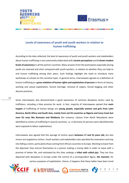



## **Levels of awareness of youth and youth workers in relation to human trafficking**

According to the data collected, the level of awareness of youth and youth workers and stakeholders about human trafficking is very extensively elaborated with **variant perceptions** and **it shows modest levels of awareness** in all the partner countries. Many answers from the participants especially among youth are reserved and short compared with youth workers, in relation to whether they can help to end human trafficking among their peers. Such findings highlight the need to introduce more workshops at schools on this sensitive topic. In general terms, interviewees agreed on a definition of human trafficking as a **gross violation of human rights and exploitation of persons** in forms of slavery, working and sexual exploitation*,* forced marriage, removal of organs, forced begging and other abusive practices.

17

Some interviewees also demonstrated a good awareness of common deceptive tactics used by traffickers, including a false promise for work. In fact, majority of interviewees opined that **main targets** of trafficking of human beings are **young people, especially women and girls from Latin America, North Africa and South Asia, mainly from not EU countries as Nigeria and Ivory Coast but even EU ones like Romania and Moldovia** (for instance, citizens from North Macedonia were identified as victims of trafficking in several countries, i.e. in Germany 52 persons were identified who were exposed to labour exploitation)**.** 

Interviewees also agreed that the average of victims spans **between 17 and 22 years old,** but also minors are targeted as victims. Youth workers and stakeholders also specified the motivation and trap into falling a victim, particularly those coming from African countries to Europe. Wanting to leave from the deprived, they entrust themselves to a person making a money debt in order to leave with a promise of better life, and motivated by this they undergo a **tribal oath called** *juju*. They are thus deported with deception in Europe under the control of a correspondent figure, *the mamam*, for various purposes of exploitation. Hence, it happens that these ladies have been lured







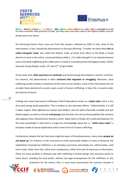



to some countries with promises of jobs, yet they have now been sold to the highest bidder and are being used as sex slaves.

An interesting historic focus came out from few answers collected by CESIE in Italy; some of the interviewees, in fact, framed the phenomenon to the past affirming: *"It makes me think about the so called triangular trade, also called the Atlantic trade, of slaves from Africa to the fields in South America to work in the cotton, cocoa and tobacco fields […] It is often thought it is an old phenomenon such as the black trafficking of the 1500s when in reality it is something that still happens today" (CESIE, Interview Young People, Locals, 14th and 17th of April 2020)*.

At the same time, **little awareness or confusion** was found among interviewees in partner countries. For instance, this phenomenon is often **confused with migration or smuggling.** Moreover, since trafficking usually involves a movement of the victim across borders, many of the interviewees do not consider those domestic/in-country cases as part of human trafficking. In Italy, this is covered under the Palermo Protocol.

Findings also show how human trafficking in North Macedonia results as a **taboo topic** and it is less discussed among youth population. This is evident as one interview affirms: "*Unfortunately, it is still a taboo subject. Most affected are women and children, who are often financially unstable and lack family support, as well as minority rural groups, but this does not rule out the possibility that someone who opposes these characteristics may be a victim. (Open Gate La Strada, ID 9, youth participants).* On the same wavelength in Italy there's a huge lack of knowledge about the s.c. *"white slave trade",* a European shade of sexual exploitation which comes from EU human trafficking.

Furthermore, despite the fact that some might be aware of the phenomenon, many times **people do not speak up**. For instance, in the rural areas or small countryside villages or towns in Romania, the exploitation of people by traffickers is an everyday occurrence and people are, unfortunately, used not to react, either from fear, either from complacency, either from lack of resources or information. There are many localities in Romania ripe with trafficking in human beings, that everyone seems to know about, including the local police, without any legal consequences for the traffickers or any protection for the victims. Also, in many local communities the common reaction is









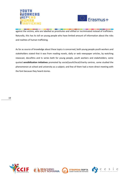



against the victims, who are labelled as prostitutes and vilified or incriminated instead of traffickers. Naturally, this has its toll on young people who have limited amount of information about the risks and realities of human trafficking.

As far as source of knowledge about these topics is concerned, both young people youth workers and stakeholders stated that it was from reading novels, daily or web newspaper articles, by watching newscast, docufilms and tv series both for young people, youth workers and stakeholders; some quoted **sensibilization initiatives** promoted by social/youth/local/charity centres, some studied the phenomenon at school and university as a subject; and few of them had a more direct meeting with the font because they heard stories.







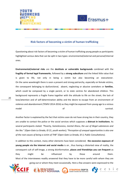



cesie

#### **Risk factors of becoming a victim of human trafficking**

Questioning about risk factors of becoming a victim of human trafficking young people as participants highlighted various data that can be split in two types: environmental/external and personal/internal ones.

**Environmental/external risks** are the **destitute or vulnerable backgrounds** combined with the **fragility of formal legal frameworks**, followed by a **strong subculture** and the linked little value that is given to life, not only in being a victim but also becoming an executioner. On the same wavelength there is soon a present and strong patriarchy, especially on female victims, the consequent belonging to dysfunctional, absent, neglecting or abusive caretakers or **families**, which could be composed by a single parent, or to state centres for abandoned children. This background represents a fragile frame together with the attitude to life on the street, the lack of love/attention and of self-determination ability and the desire to escape from an environment of violence and abandonment (TEMVI 2014-2016) as they might be exposed from young age to a vicious model survival.

20

Another factor is explained by the fact that victims soon do not have strong ties in their country, they are unable to contact the police or the social services which supposes a **distrust in institutions**. As several participants stated: *"Poverty, homelessness, mental illness, the use of illegal substances and the like." (Open Gate La Strada, ID 21, youth worker); "Perception of unequal opportunities is also one of the root causes of being a victim of THB" (Open Gate La Strada, ID 3, Public Consultations).* 

In addition to this contest, many other elements have been considered; **the excessive exposure of young people via the internet and social media** is on , thus having a distorted view of reality, the consequent cult of self-image, a strong disinformation, **places and friendships you can frequent** as they might be influenced by those around them. Most of the interviewees readily answered that they have to be more careful with whom they are going out or whom they meet occasionally. Here a few answers were expressed to the

**ОТВОРЕНА ПОРТА** 

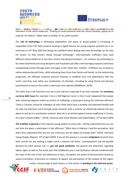



relevance of the social media too. *"Posting on social networks with the correct location, going out to clubs for the elderly." (Open Gate La Strada, ID 16, youth worker).*

The **role of technology** in facilitating exploitation and abuse of young people is increasing. A respondent from CCIF field research working in digital literacy for young migrants pointed out in an interview on 14<sup>th</sup> May 2020 that being too confident when dealing with new technology can be risky for youths *"as they interact mostly through technology"*. Internationally, traffickers have used different online platforms to lure their victims into physical locations – for instance, by pretending to be online boyfriends and using deceptive and fraudulent job offers and marriage proposals and hence manipulating victims through sham marriages or the "lover boy" method. Traffickers use to build an online relationship with them, while alienating them from their family and friends. As the relationship progresses, the offender proposes physical meetups to establish trust and dependency with the victim, and they may utilize any combination of attempts, including by using threat and physical punishments to ensure the victim's submission and captivity (Middleton, 2019).

The other one is the financial crisis we in part still live, especially if we even consider the **monetary currency debt issue** (for example 1 Euro is 350 Nigerian naira). In fact it even happened that people with University degrees ended up victims of trafficking; a participant during the interview affirmed: "*Once a Tunisian University colleague of mine (who came from a wealthy and educated family) told me that she had been lured through social networks with a promise of scholarship abroad and was about to end up in a prostitution network. Now she is an activist against human trafficking in Tunisia, her name is Racha Haffar." (CESIE, Interview with Youth Workers and Stakeholders, 27th of April 2020)*

**The mobility in general** in fact exposes young people to some risks , letting understand that you are not from the place; a participant in fact affirmed: "*Often here in Palermo I had this perception, that when they understand that you are not a local you are the object of strange looks" (CESIE, Interview Young People, Migrant, 10th of April 2020*). If we set this process in a proper **emigration** of youth from their country for job seeking it might result a relevant risk factor. Unemployment and the parallel demand for work abroad, the s.c. *get rich quick syndrome*, the general low awareness regarding labour rights as well as the active part that middlemen pay in job facilitation abroad combined with the state of the rule of law, low adherence to laws, corruption, the extent of discrimination based on sexual orientation, restrictions on freedom of speech and perceptions of the outlook of this region



create a broad range of push factors, as the chance of **working in the informal sector**,





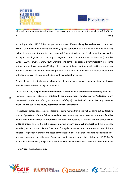



where victims are easier forced to take up increasingly insecure and accept low-paid jobs (Nimführ et al., 2020).

According to the 2020 TIP Report, perpetrators use different **deceptive techniques** to lure their victims. One of them is replacing the initially signed contract with a less favourable one or forcing victims to perform a different job than expected. Only victims from the EU Member States exploited in irregular employment can claim unpaid wages and other compensation from the state (Council of Europe, 2020). However, a few youth workers consider that education is very important in order to not become victim of human trafficking or in other way this suggest that youths in North Macedonia not have enough information about the potential risk factors. As the analyses<sup>11</sup> showed most of the potential victims or already identified are with **low education status**.

Despite the deceptive techniques, in Romania, field research also showed that many times victims are directly forced and coerced against their will.

On the other side, the **personal/internal factors** are embodied in **emotional vulnerability** (loneliness, shyness, insecurity), **abuse in childhood, separation from family, naivety/gullibility** (don't check/verify if the job offer you receive is safe/legal), **the lack of critical thinking, sense of displacement, substance abuse, depression and social isolation.**

Two relevant details concerning risk factors of being human trafficking victims came out by Reaching out and Open Gate La Strada fieldwork, and they are respectively the existence of **predatory families**, who sell their own children into trafficking networks or directly to traffickers, and the target victims of **Roma group.** In fact, it is still a present practice of **early drop out of school**, and this is noticed especially among Roma children. The rate of irregular attendance and the dropout rate of Roma children is high both in primary and secondary education. The Roma that attend school indicate higher absences in comparison to their non-Roma peers, which puts students at risk of dropout (UNDP, 2012). A considerable share of young Roma in North Macedonia has never been to school. About one out of









<sup>11</sup> <http://lastrada.org.mk/priracnici/>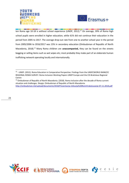



**STATISTICS** <u> The Communication of the Communication of the Communication of the Communication of the Communication of the Communication of the Communication of the Communication of the Communication of the Communication of the Commun</u> <u> Barbara (Barbara) a</u> **The State** ten Roma age 10-18 is without school experience (UNDP, 2012).<sup>12</sup> On average, 39% of Roma high school pupils were enrolled in higher education, while 61% did not continue their education in the period from 2005 to 2017. The average drop-out rate from one to another school year in the period from 2005/2006 to 2016/2017 was 15% in secondary education (Ombudsman of Republic of North Macedonia, 2018).<sup>13</sup> Many Roma children are **unaccompanied,** they can be found on the streets begging or selling items such as wet wipes etc; most probably they make part of an elaborate human trafficking network operating locally and internationally.









<sup>&</sup>lt;sup>12</sup> - UNDP. (2012). Roma Education in Comparative Perspective. Findings from the UNDP/WORLD BANK/EC REGIONAL ROMA SURVEY. Roma Inclusion Working Papers UNDP Europe and the CIS Bratislava Regional Centre

<sup>&</sup>lt;sup>13</sup> Ombudsman of Republic of North Macedonia. (2018). Roma inclusion after the decade of Roma current situation and challenges. Skopje: Ombudsman of Republic of North Macedonia. <http://ombudsman.mk/upload/documents/2018/Prezentacija-Inkluzija%20RomiVrabotuvanje-07.11.2018.pdf>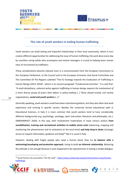



#### **The role of youth workers in ending human trafficking**

Youth workers can build lasting and impactful relationships in their local community, which in turn creates different opportunities for addressing the issue of human trafficking; the work done every day by countless caring adults who accompany and mentor teenagers is crucial to helping teens remain clear of recruitment by traffickers.

These considerations become relevant even in a communication from the European Commission to the European Parliament, to the Council and to the European Economic And Social Committee and The Committee Of The Regions subtitled "The EU Strategy towards the Eradication of Trafficking in Human Beings (2012–2016)", where in its second paragraph "Fundamental priorities " it is said that: *"A multi-disciplinary, coherent policy against trafficking in human beings requires the involvement of a more diverse group of actors than before in policy-making […] These should include civil society organizations, social and youth workers […]".*

Generally speaking, youth workers could have been volunteering before, but they also often lack work experience and training in specific sectors. Besides the university formal educational path in Educational Sciences, in Italy it is more common that youth workers tend to have considerably different backgrounds (e.g. psychology, sociology, sport instruction, literature and philosophy, etc.). (INNO4IMPACT 2020). In this way, their involvement materializes in many various actions **from sensibilization, training and recreational activities to mobile street units** (observing, mapping and monitoring the phenomenon and its evolutions at the local level) **and help drop-in desks** (strategic access to request information, guidance and help) $14$  like it is usual in Italy.

However, dealing with fragile people who need a human bond, they try **to balance with a welcoming/enveloping and protective approach**, trying to build **an informal relationship**. Balancing the attitude is not enough because it soon happened to be rejected even in having a simple dialogue.

<sup>&</sup>lt;sup>14</sup> Ascoli Piceno city association "On the road"; [https://www.ontheroad.coop/en/intervention-areas/human](https://www.ontheroad.coop/en/intervention-areas/human-trafficking/)[trafficking/](https://www.ontheroad.coop/en/intervention-areas/human-trafficking/)







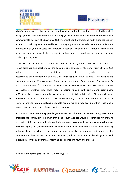



Malta's current youth policy encourages youth workers to develop and implement initiatives which engage youth with fewer opportunities, including young migrants, and promote their participation in community life (Ministry of Education, 2015). In general, youth workers and youth organizations play an integral role in improving the resilience of young migrants who experienced trauma; in fact, the interviews with youth revealed that interactive activities which invite insightful discussions and inquisitive learning appear to be effective in building in-depth knowledge and understanding of trafficking among them.

Youth work in the Republic of North Macedonia has not yet been formally established as a standardized youth support system; the latest national strategy for the period from 2016 to 2025 includes a a definition of youth work. According to this document, youth work is an *"organized and systematic process of education and support for the authentic development of young people in order to achieve their overall personal, social and societal potential."<sup>15</sup>*. Despite this, the youth position in the Republic of North Macedonia remains as challenge, whether they could **help in ending human trafficking among their peers.** In 2018, mobile teams were formed as a result of project activity in only five cities. These mobile teams are composed of representatives of the Ministry of Interior, MLSP and CSOs and from 2018 to 2019, the teams worked hardly identifying many potential victims; as a good example within those mobile teams could be the inclusion of youth workers in future.

In Romania, **not many young people get involved as volunteers in various non-governmental organizations**, particularly in human trafficking. Youth workers would be beneficial for changing perceptions, informing about the risks and raising awareness among the vulnerable groups but there are no such programs yet implemented in Romania, although the need for education about trafficking in human beings in schools, media campaigns and online has been emphasized by most of the respondents to the interview questions. In fact, many youth workers expressed the willingness to work in programs for raising awareness, informing, and counselling youth and children.

 $15$  Национална стратегија за млади од 2016 година, р. 17







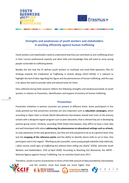



## **Strengths and weaknesses of youth workers and stakeholders in working efficiently against human trafficking**

Youth workers and stakeholders need to understand how they can contribute to anti-trafficking action in their current professional capacity and what skills and knowledge they will need to serve young people vulnerable to trafficking better.

Besides the fact that the EC defines youth workers as multitask and multi-field operators *[The EU Strategy towards the Eradication of Trafficking in Human Beings (2012–2016)*], it is relevant to highlight the lack of data regarding this figure and the phenomenon of human trafficking, and this says a lot about the need to provide valid and tailored tools for them.

Data collected during field research reflects the following strengths and weaknesses/needs of youth workers in relation to Prevention, Identification and Support of (victims) of human trafficking:

#### **Prevention**

Prevention initiatives in partner countries are present at different levels. Some participants in this study pointed out that prevention activities are very important such as **education campaigns,** which according to Open Gate La Strada (North Macedonia) interviewees should start even at the primary schools with a designed regular program such as peer education, that is relevant key act in developing positive group norms. Similarly, according CESIE (Italy) interviewees, they affirm to have a clear idea and well developed skills about **addressing the phenomenon at educational settings such as schools**, to raise awareness of the new generations, but they are only prepared to do so at a general level; they lack the **mapping of the reference points** and the ability to identify alarms bells to act in time. One participant said in this regard: *"Working as job counsellor, some young people asked for help indirectly, I often receive small signs of trafficking but without them telling me clearly" (CESIE, Interview Youth Workers and Stakeholders, 27th of April 2020).* According to Reaching Out (Romania), the ANTIP - National Agency against Human Trafficking, has no activities listed since 2017.

Therefore, results in terms of prevention in terms of the little amount of data provided by interviewees



and the content, show that needs are much higher than





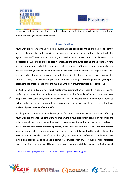



. . . strengths requiring an educational, multidisciplinary and oriented approach to the prevention of human trafficking in all partner countries.

#### **Identification**

Youth workers working with vulnerable populations need specialized training to be able to identify and refer the potential trafficking victims, as victims are usually fearful and thus reluctant to testify against their traffickers. For instance, a youth worker from an NGO from a public consultation moderated by CCIF (Malta) shared a case where it was **unclear how to best help the potential victim**. A young woman approached the youth worker during an anti-trafficking event and shared that she was the trafficking victim. However, when the NGO worker tried to refer her to support during their second meeting, the woman was unwilling to testify against her traffickers and refused to report the case. In this way, it results very important to improve or even gain knowledge on **recognizing and addressing the unique needs of young migrants with post-traumatic stress disorder (PTSD).**

In 2016, general indicators for initial /preliminary identification of potential victims of human trafficking in cases of mixed migration movements in the Republic of North Macedonia were adopted.<sup>16</sup> At the same time, state and NGO sectors raised concerns about low number of identified victims and as most experts reported, but also confirmed by the participants in this study, that there is a **lack of proactive identification efforts.**

For the process of identification and emergence of victims or presumed victims of human trafficking, youth workers and stakeholders affirm to implement a **multidisciplinary** (based on historical and political knowledge, non-verbal and intercultural communication and on sociology and psychology) and a **holistic and communicative approach,** taking into account the various **national referral mechanisms and plans** and complementing them with the **guidelines edited** by valid entities as the IOM, UNHCR and similar. Therefore, in this light, resources which efficiently complement these institutional tools seems to be a need in terms of victim identification. Moreover, participants stated that, possessing team-working skills and a good coordination is vital. For example, in Malta, not all









<sup>16</sup> <http://www.esem.org.mk/pdf/Publikacii/2020/Sostojbata%20so%20trgovijata%20so%20lugje.pdf>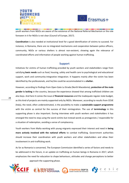



youth workers from NGOs are aware of the existence of the National Referral Mechanism or the role foreseen in it for NGOs is not clear (Council of Europe, 2017).

**Coordination** is also needed at institutional level for a good identification of victims to succeed. For instance, in Romania, there are no integrated mechanisms and cooperation between police officers, community, NGOs or various shelters is almost non-existent, showing again the relevance of coordinated efforts and information of people working against human trafficking.

#### **Support**

Initiatives for victims of human trafficking provided by youth workers and stakeholders range from satisfying **basic needs** such as food, housing, safety and health care to psychological and educational support, work and community-integrative integration. It happens mainly after the victim has been identified by the professionals, and he/she could be accommodated in a **shelter.**

However, according to findings from Open Gate La Strada (North Macedonia), **protection of the male gender is lacking** in the country, because the experience showed that among trafficked children are also boys. And here it comes the issue of **financial resources** and the inadequate regular state budget, as this kind of projects are mainly supported only by NGOs. Moreover, according to results from CESIE (Italy), the need, often underestimated, is the possibility to make a **sustainable support programme** with the victim as central for the success of their reintegration. The use of **terminology** in this supporting phase is also important. During interviews with youth workers and stakeholders it has emerged the need to stop using the word *victims* but instead words as protagonists / responsible for a situation of redemption, avoiding a sense of complacency.

Youth workers from Malta working with young migrants expressed their interest and need in **being more actively involved with the national efforts** to combat trafficking. Government authorities should increase their coordination with youth workers and other stakeholders and allow their involvement in anti-trafficking work.

As far as Romania is concerned, The European Commission identified a series of factors and needs to be addressed in the future, in an update on trafficking on human beings in Romania in 2017, which emphasizes the need for education to shape behaviours, attitudes and change perceptions to better approach the supporting phase.







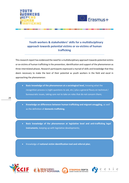



# **Youth workers & stakeholders' skills for a multidisciplinary approach towards potential victims or ex-victims of human trafficking**

This research report has evidenced the need for a multidisciplinary approach towards potential victims or ex-victims of human trafficking in the prevention, identification and support of the phenomenon as three interrelated phases. Research participants expressed a myriad of skills and knowledge that they deem necessary to make the best of their potential as youth workers in the field and excel in approaching the phenomenon:

- **Basic knowledge of the phenomenon at a sociological level,** knowing what the recognition process is (right questions to ask, etc.) plus a general floury on technical / bureaucratic issues, taking care not to take on roles that do not concern them;
- **Knowledge on differences between human trafficking and migrant smuggling,** as well as the definition of **domestic trafficking.**

• **Basic knowledge of the phenomenon at legislative level and anti-trafficking legal instruments**, keeping up with legislative developments;

• Knowledge of **national victim identification tool and referral plan**;







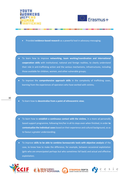



- Provided **evidence-based research** as a powerful tool in advocacy-messaging;
- To learn how to improve **networking, team working/coordination and international cooperation skills** with institutional, national and foreign realities, to clearly understand their role in anti-trafficking action and the various mechanisms, infrastructures, including those available for children, women, and other vulnerable groups;
- To improve the **comprehensive approach skills** in the complexity of trafficking cases, learning from the experiences of operators who have worked with victims;

●

- To learn how to decentralize from a point of ethnocentric view;
- To learn how to **establish a continuous contact with the victims**, in a more ad personally based support programme, following him/her in all its steps even when finished, in order **to contextualize the individual cases** based on their experience and cultural background, so as to favour a greater understanding;
- To improve **skills to be able to combine bureaucratic tools with objective analysis** of the case, to know how to make the difference, for example, between occasional exploitation (girls who are emancipated perhaps but who sometimes fall back) and actual and effective exploitation;







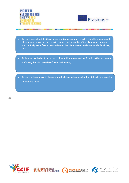

*BOOT SHOW HIM IS NOT THE WAY ...* 

**District Control** 



\_\_\_\_\_

**Service State Corp. 2000 Corp. 2000** 

- To learn more about the **illegal organ trafficking economy**, which is something submerged phenomenon now a day, and also to deepen the knowledge of the **history and culture of the criminal groups / sects that are behind this phenomenon as** *the cultist, the black axe*, etc;
- To improve skills about the process of identification not only of female victims of human **trafficking, but also male boys/males and minors**;
- To learn to leave space to the upright principle of self-determination of the victims, avoiding infantilizing them.







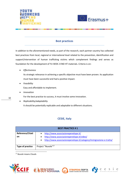



**The company's state and state and state of the company's state of the company's state of the company's state of** 

#### **Best practices**

In addition to the aforementioned needs, as part of the research, each partner country has collected best practices from local, regional or international level related to the prevention, identification and support/intervention of human trafficking victims which complement findings and serves as foundation for the development of YU WOK 2 END HT materials. Criteria is on:

• *Effectiveness*

Its strategic relevance in achieving a specific objective must have been proven. Its application must have been successful and had a positive impact.

- *Feasibility* Easy and affordable to implement.
- *Innovation*

For the best practice to success, it must involve some innovation.

• *Replicability/adaptability*

It should be potentially replicable and adaptable to different situations.

## **CESIE, Italy**

|                  | <b>BEST PRACTICE #1</b>                                                                                                                   |
|------------------|-------------------------------------------------------------------------------------------------------------------------------------------|
| Reference/Citati | http://www.associazionepenelope.it/                                                                                                       |
| <b>on</b>        | http://www.associazionepenelope.it/video/<br>$\bullet$<br>http://www.associazionepenelope.it/category/immigrazione-e-tratta/<br>$\bullet$ |
| Type of practice | Project "Nuvole" <sup>17</sup>                                                                                                            |

<sup>17</sup> *Nuvole* means Clouds







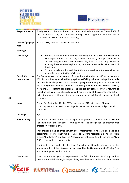



| <b>Target audience</b>   | Foreigners and citizens victims of the crimes provided for in articles 600 and 601 of                                                                                                                                                                                                                                                                                                                                                                                                                                                           |
|--------------------------|-------------------------------------------------------------------------------------------------------------------------------------------------------------------------------------------------------------------------------------------------------------------------------------------------------------------------------------------------------------------------------------------------------------------------------------------------------------------------------------------------------------------------------------------------|
|                          | the Italian penal code, unaccompanied foreign minors, applicants for international                                                                                                                                                                                                                                                                                                                                                                                                                                                              |
|                          | protection and victims of human trafficking.                                                                                                                                                                                                                                                                                                                                                                                                                                                                                                    |
|                          |                                                                                                                                                                                                                                                                                                                                                                                                                                                                                                                                                 |
| Context/geograp          | Eastern Sicily, cities of Catania and Messina                                                                                                                                                                                                                                                                                                                                                                                                                                                                                                   |
| hical                    |                                                                                                                                                                                                                                                                                                                                                                                                                                                                                                                                                 |
| coverage                 |                                                                                                                                                                                                                                                                                                                                                                                                                                                                                                                                                 |
| Objective/s              | Promote interventions to combat trafficking for the purpose of sexual and<br>work exploitation in the territory of the Eastern Sicily through a network of<br>services that guarantee social protection, legal and social accompaniment in<br>escaping the situation of exploitation, reception, social and work inclusion of<br>the victims.<br>Encourage collaboration with institutions and services in the area aimed at<br>$\bullet$<br>prevention and protection of victims                                                               |
| <b>Description</b><br>of | The Penelope Association, a non-profit organization founded in 1996 and active since                                                                                                                                                                                                                                                                                                                                                                                                                                                            |
| best practice            | 2001 in coordinating social solidarity against trafficking in human beings, is the body<br>responsible for the project. It is a one-way program of emergence, assistance and<br>social integration aimed at combating trafficking in human beings aimed at sexual,<br>work and / or begging exploitation. The project envisages a diverse network of<br>reception and a program of social and work reintegration of the victims aimed at their<br>full autonomy, also through the experimentation of training placements at local<br>companies. |
| Impact                   | From 1st of September 2016 to 30 <sup>th</sup> of November 2017, 93 victims of human                                                                                                                                                                                                                                                                                                                                                                                                                                                            |
|                          | trafficking were taken over, mostly Nigerian, Ghanaian, Romanian, Bulgarian and<br>Colombian.                                                                                                                                                                                                                                                                                                                                                                                                                                                   |
| <b>Challenges</b>        | N/A                                                                                                                                                                                                                                                                                                                                                                                                                                                                                                                                             |
| Sustainability           | The project is the product of an agreement protocol between the association<br>Penelope and the territorial commission for the recognition of international<br>protection of Trapani city.                                                                                                                                                                                                                                                                                                                                                      |
|                          | This project is one of three similar ones implemented in the Sicilian island and<br>coordinated by two other realities, Casa dei Giovani Association in Palermo with<br>project "Maddalena" and Proxima Association in Caltanissetta with the project "Fari<br>2.0", all funded by the same entity.                                                                                                                                                                                                                                             |
|                          | The initiative was funded by the Equal Opportunities Department, as part of the<br>implementation of the interventions envisaged by the National Anti-Trafficking Plan<br>and in 2019 gained its third edition.                                                                                                                                                                                                                                                                                                                                 |
| <b>Conclusion</b>        | Thanks to the many years of experience in the field, the project in 2019 gained its<br>third edition and this brought the possibility over the time to follow the phenomenon                                                                                                                                                                                                                                                                                                                                                                    |









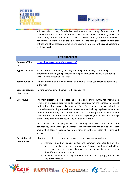



| in its evolution (variety of methods of enticement in the country of departure and of        |
|----------------------------------------------------------------------------------------------|
| contact with the victims once they have landed in Sicilian coasts, places of                 |
| exploitation, identification of characteristics of victims as age, etc.). This is the result |
| not only of the direct work on the field but even of the strong collaboration with local     |
| entities and other association implementing similar projects in the island, creating a       |
| useful network.                                                                              |
|                                                                                              |

| <b>BEST PRACTICE #2</b>           |                                                                                                                                                                                                                                                                                                                                                                                                                                                                                                                                                                                   |
|-----------------------------------|-----------------------------------------------------------------------------------------------------------------------------------------------------------------------------------------------------------------------------------------------------------------------------------------------------------------------------------------------------------------------------------------------------------------------------------------------------------------------------------------------------------------------------------------------------------------------------------|
| Reference/Citati<br>on            | https://healproject.eu/en/home-english/                                                                                                                                                                                                                                                                                                                                                                                                                                                                                                                                           |
| <b>Type of practice</b>           | Project "HEAL" - enHancing rEcovery and integrAtion through networking,<br>empLoyment training and psychological support for women victims of trafficking<br>(AMIF - Grant Agreement no. 863631)                                                                                                                                                                                                                                                                                                                                                                                  |
| <b>Target audience</b>            | Third country national women victims of human trafficking and stakeholders active<br>in the field                                                                                                                                                                                                                                                                                                                                                                                                                                                                                 |
| Context/geograp<br>hical coverage | Hosting community and human trafficking victims                                                                                                                                                                                                                                                                                                                                                                                                                                                                                                                                   |
| Objective/s                       | The main objective is to facilitate the integration of third country national women<br>victims of trafficking brought to European countries for the purpose of sexual<br>exploitation. The project is ongoing. Next September they will develop a<br>comprehensive healing process based on competence-building, psychological support<br>to foster third-country national female victims of trafficking's employment related<br>skills and psychological recovery with an ethno-psychology approach, methodology<br>of art therapies and workshops for the creation of fanzines. |
|                                   | At the same time, the project aims to encourage networking and collaboration<br>between key actors working with women victims of trafficking and to raise awareness<br>among third-country national women victims of trafficking about the rights and<br>services they are entitled.                                                                                                                                                                                                                                                                                              |
| <b>Description of</b>             | HEAL implemented three macro-types of activities in each involved country:                                                                                                                                                                                                                                                                                                                                                                                                                                                                                                        |
| best practice                     | 1) Activities aimed at gaining better and common understanding of the<br>perceived needs of the three key groups of women victims of trafficking,<br>service providers, and potential employers, and the specificities of these in<br>the different national contexts;<br>Activities aimed at increasing interaction between these groups, both locally<br>2)<br>and at the EU level;                                                                                                                                                                                             |







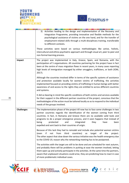



|                   | Activities leading to the design and implementation of the Recovery and<br>3)<br>Integration Programme, providing innovative and flexible methods for the<br>psychological assistance of victims on the one hand, and for the transfer of<br>employment-related skills through a multi-disciplinary training, transferable<br>to different contexts.<br>These activities were based on various methodologies like active, holistic,<br>intercultural and ethno-psychiatric approach and through visual art, peer to peer and<br>non-formal learning process. |
|-------------------|--------------------------------------------------------------------------------------------------------------------------------------------------------------------------------------------------------------------------------------------------------------------------------------------------------------------------------------------------------------------------------------------------------------------------------------------------------------------------------------------------------------------------------------------------------------|
| Impact            | The project was implemented in Italy, Greece, Spain, and Romania, with the<br>participation of 5 organisations. All countries partnering for the project have in fact<br>been at the centre of mass migration flows in recent years, in many cases reporting<br>high levels of immigration managed by either smugglers, traffickers, or both (IOM,<br>$2017$ ).                                                                                                                                                                                              |
|                   | Although the countries involved differ in terms of the specific systems of assistance<br>and protection available locally for women victims of trafficking, the activities<br>implemented focused on providing victims of trafficking in human beings with better<br>awareness of and access to the rights they are entitled to across different countries<br>and systems.                                                                                                                                                                                   |
|                   | It did so bearing in mind the specific conditions of both victims and services available<br>for their support in the different partner countries of the project, conscious that the<br>methodologies of the action must be tailored locally so as to respond to the individual<br>needs of the groups involved.                                                                                                                                                                                                                                              |
| <b>Challenges</b> | The implementation phase of the project till now has to face some challenges in two<br>partner countries regards the identification of the women coming from third<br>countries. In fact, in Romania and Greece there are no available valid tools and<br>programs to do a proper emergence process, and it soon happens that instead of<br>being<br>protected<br>and<br>integrated<br>they<br>have<br>been<br>expelled and sent back to their countries of origin.                                                                                          |
|                   | Because of this lack they had to remodel and include also potential women victims<br>if<br>from<br>third<br>countries)<br>(even<br>not<br>target<br>of<br>the<br>as<br>project.<br>The other aspect that slow down the various initiative was the health emergency due<br>to the COVID 19, reason why the networking meeting has to be postponed.                                                                                                                                                                                                            |
|                   | The activities with the target are still to be done and are scheduled for next autumn,<br>and probably there will be problems in putting at ease the women involved, letting<br>them open up and actively participate in the activities. At the same time the partners,<br>aware that unpleasant situations could arise, they are predicting how to react in case<br>of more problematic individual cases.                                                                                                                                                   |







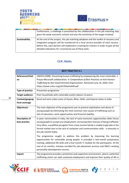



|                       | Furthermore, a challenge is presented by the collaboration in the job matching step<br>given the weak economic context and also the sensitivity of the target involved.                                                                                                                                                                |
|-----------------------|----------------------------------------------------------------------------------------------------------------------------------------------------------------------------------------------------------------------------------------------------------------------------------------------------------------------------------------|
| <b>Sustainability</b> | At the end of the project, the job matching database and the toolkit of recovery and<br>integration program will be transferred to a local service provider of each country.<br>Before this, each partner will implement a training for trainers in order to give all the<br>detailed indications for a functional use of these tools. |

# **CCIF, Malta**

|                                        | <b>BEST PRACTICE #1</b>                                                                                                                                                                                                                                                                                                                                                                                                                                                                                                                                                                                                                                                                                                              |
|----------------------------------------|--------------------------------------------------------------------------------------------------------------------------------------------------------------------------------------------------------------------------------------------------------------------------------------------------------------------------------------------------------------------------------------------------------------------------------------------------------------------------------------------------------------------------------------------------------------------------------------------------------------------------------------------------------------------------------------------------------------------------------------|
| Reference/Citati<br>on                 | UNHCR (2008). Preventing human trafficking by empowering the most vulnerable: a<br>Prayas-Microsoft collaboration. In Compendium of Best Practices on Anti-Human<br>Trafficking by Non-Governmental Organizations. Retrieved June 16, 2020, from<br>https://www.unhcr.org/afr/50aa5a4d9.pdf                                                                                                                                                                                                                                                                                                                                                                                                                                          |
| <b>Type of practice</b>                | Prevention programme                                                                                                                                                                                                                                                                                                                                                                                                                                                                                                                                                                                                                                                                                                                 |
| <b>Target audience</b>                 | Poor households with vulnerable youths (above 14 years).                                                                                                                                                                                                                                                                                                                                                                                                                                                                                                                                                                                                                                                                             |
| Context/geograp<br>hical coverage      | Rural and semi-urban areas of Assam, Bihar, Delhi, and Gujarat states in India.                                                                                                                                                                                                                                                                                                                                                                                                                                                                                                                                                                                                                                                      |
| Objective/s                            | The main objective of the programme was to prevent exploitation and abuse of<br>young people by eliminating the most common root causes of trafficking such as<br>lack of education, work opportunities and financial stability.                                                                                                                                                                                                                                                                                                                                                                                                                                                                                                     |
| <b>Description of</b><br>best practice | In poor communities in India, the lack of socio-economic opportunities often forces<br>young people to accept any employment, increasing their chances of being trafficked.<br>Very often, a qualified youngster from a low-income family is unable to get jobs in the<br>formal market due to the lack of computer and communication skills - a necessity in<br>the job market today.<br>The programme sought to address this problem by improving the learning<br>opportunities for vulnerable young people. It provided a two-month preparatory<br>training, additional life skills and a four-month IT module for the participants. At the<br>end of six months, trainees enrolled for job placement services and NGO's existing |
|                                        | personality development courses.                                                                                                                                                                                                                                                                                                                                                                                                                                                                                                                                                                                                                                                                                                     |
| Impact                                 | The programme provides a protective and supportive environment, where a potential<br>trafficking victim can seek sustained employment and improve their quality of life in                                                                                                                                                                                                                                                                                                                                                                                                                                                                                                                                                           |







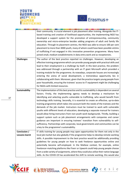



|                                       | their community. A crucial element is job placement after training. Alongside the IT-<br>based training and creation of livelihood opportunities, the implementing NGO has<br>developed a support system for the promotion of entrepreneurship, community<br>ownership and micro-enterprise besides adding programs of adult and family life<br>education. Through its placement centres, the NGO was able to ensure 100 per cent<br>placement to more than 3000 youth, many of whom could have been possible victims<br>of trafficking if not engaged in this innovative prevention programme. Many have<br>joined small, medium establishments in data entry work and as receptionists.                                                                                                                                                                                                                                                                                                                              |
|---------------------------------------|------------------------------------------------------------------------------------------------------------------------------------------------------------------------------------------------------------------------------------------------------------------------------------------------------------------------------------------------------------------------------------------------------------------------------------------------------------------------------------------------------------------------------------------------------------------------------------------------------------------------------------------------------------------------------------------------------------------------------------------------------------------------------------------------------------------------------------------------------------------------------------------------------------------------------------------------------------------------------------------------------------------------|
| <b>Challenges</b>                     | The author of the best practice reported no challenges. However, developing an<br>effective training programme which can provide young people with practical skills and<br>lead to their employment is a challenge by itself. In this best practice, the problem<br>was addressed through a partnership with an IT giant Microsoft which provided a<br>training module for the programme. As nowadays, corporate houses are increasingly<br>entering the arena of social development, a tremendous opportunity lies in<br>collaborating with them. Moreover, given that the practice targets young people from<br>poor households, ensuring the trainees' access to IT equipment might be challenging<br>for NGOs with limited resources.                                                                                                                                                                                                                                                                              |
| <b>Sustainability</b>                 | The implementation of this best practice and its sustainability is dependent on several<br>factors. Firstly, the implementing agency needs to develop a mechanism for<br>identifying and selecting youths vulnerable to trafficking, who would benefit from<br>technology skills training. Secondly, it is essential to create an effective, up-to-date<br>training programme which takes into account both the needs of the trainees and the<br>demands of the job market. Instructors must be trained to work with vulnerable<br>youths with different levels of education; developing a separate manual for trainers<br>would allow hiring instructors from non-youth-work backgrounds. Thirdly, building a<br>support system such as job placement arrangements with companies and career<br>guidance are important in ensuring trainees' transition from vulnerability to self-<br>sufficiency. Partnerships with corporate, local governments and communities can be<br>a key to the programme's sustainability. |
| Conclusion /<br><b>Lessons learnt</b> | IT skills training for young people may open opportunities for them not only in the<br>local job market but also globally if the programme helps to develop remote working<br>skills. A possible improvement to the best practice would be additionally providing<br>guidelines for young people on how to seek freelance opportunities online and<br>potentially become self-employed. In the Maltese context, for example, online<br>freelancer-matching platforms like Fiverr or Upwork could help young people choose<br>from a wide variety of assignments, where they could also utilize their native language<br>skills. As the COVID-19 has accelerated the shift to remote working, this would also                                                                                                                                                                                                                                                                                                           |







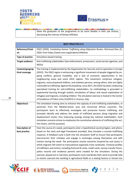



| allow the graduates of the programme to be more flexible in their job choices, |
|--------------------------------------------------------------------------------|
| decreasing the chances of being trafficked.                                    |

|                         | <b>BEST PRACTICE #2</b>                                                                                                                                                                |
|-------------------------|----------------------------------------------------------------------------------------------------------------------------------------------------------------------------------------|
| Reference/Citati        | OSCE (2020). Combating Human Trafficking along Migration Routes. Retrieved May 25,                                                                                                     |
| on                      | 2020, from https://www.osce.org/projects/cthblivex                                                                                                                                     |
| <b>Type of practice</b> | Simulation-based training                                                                                                                                                              |
| <b>Target audience</b>  | Anti-trafficking stakeholders (law enforcement, prosecutors, social-service agencies, and                                                                                              |
|                         | NGOs)                                                                                                                                                                                  |
| Context/geograp         | The training is implemented by the Organization for Security and Co-operation in Europe                                                                                                |
| hical coverage          | (OSCE). The OSCE region is witnessing a significant movement of people triggered by on-                                                                                                |
|                         | going conflicts, general instability, and a lack of economic opportunities in the                                                                                                      |
|                         | neighbouring areas and some OSCE regions. This movement comprises refugees,                                                                                                            |
|                         | migrants, unaccompanied children, and stateless persons, among others, who are highly                                                                                                  |
|                         | vulnerable to trafficking. Against this backdrop, since 2017, the OSCE has been conducting                                                                                             |
|                         | specialised training for anti-trafficking stakeholders. Its methodology is grounded in                                                                                                 |
|                         | experiential learning through realistic simulations of labour and sexual exploitation of<br>refugees and migrants, including children. The simulation exercise is hosted in the Center |
|                         | of Excellence of Police Units (CoESPU) in Vicenza, Italy.                                                                                                                              |
|                         |                                                                                                                                                                                        |
| Objective/s             | The simulation training aims to enhance the capacity of anti-trafficking stakeholders, in                                                                                              |
|                         | particular from the Mediterranean area and concerned African countries. The<br>participants learn to effectively investigate and prosecute human trafficking, and                      |
|                         | promptly identify and address the needs of trafficked persons along migration and                                                                                                      |
|                         | displacement routes, thus improving synergy among key national stakeholders. Each                                                                                                      |
|                         | simulation scenario strives to emphasize the constitutive elements of trafficking (the act,                                                                                            |
|                         | the means, and the purpose).                                                                                                                                                           |
| Description of          | Over the course of a week, participants enter a hypothetical country/region, and where,                                                                                                |
| best practice           | based on the tools and legal framework provided, they simulate a counter-trafficking                                                                                                   |
|                         | response. A feedback cycle is built into the simulation itself to ensure that participants                                                                                             |
|                         | learn/correct their mistakes and engage in exchanges among themselves and with                                                                                                         |
|                         | trainers during the week. The participants receive scenarios (inspired by real cases) in                                                                                               |
|                         | which migrants fell victim to transnational organized crime syndicates. Fictional profiles                                                                                             |
|                         | of traffickers and victims, including fictional ID cards, credit cards, money transfer forms,                                                                                          |
|                         | police records and residence permits were created for the simulation. During the                                                                                                       |
|                         | exercise, played out in real-time, participants must coordinate their work to provide help                                                                                             |
|                         | to victims coerced into working in agricultural fields or a sewing factory or forced into                                                                                              |







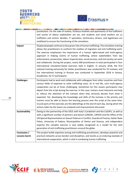



|                       | prostitution. For the sake of realism, fictitious brothels and apartments of the traffickers                                                                                                                                                                                                                                                                                                                                                                                                                                                                                                                                                                                                                                                                                                                                                                               |
|-----------------------|----------------------------------------------------------------------------------------------------------------------------------------------------------------------------------------------------------------------------------------------------------------------------------------------------------------------------------------------------------------------------------------------------------------------------------------------------------------------------------------------------------------------------------------------------------------------------------------------------------------------------------------------------------------------------------------------------------------------------------------------------------------------------------------------------------------------------------------------------------------------------|
|                       | and scenes of labour exploitation are set, and students and social workers act as                                                                                                                                                                                                                                                                                                                                                                                                                                                                                                                                                                                                                                                                                                                                                                                          |
|                       | traffickers and victims. Besides, IT specialists, technicians, drivers, and logisticians are                                                                                                                                                                                                                                                                                                                                                                                                                                                                                                                                                                                                                                                                                                                                                                               |
|                       | mobilized to ensure the functioning of the simulation.                                                                                                                                                                                                                                                                                                                                                                                                                                                                                                                                                                                                                                                                                                                                                                                                                     |
| Impact                | Displaced people continue to face grave risks of human trafficking. The simulation training<br>allows the practitioners to confront the realities of migration and anti-trafficking work.<br>The exercise emphasizes the importance of a human rights-based and multi-agency<br>approach in helping victims of human trafficking, where stakeholders from law<br>enforcement, prosecution, labour inspectorates, social services, and civil society can work<br>and collaborate. During the project, nearly 300 practitioners in total participated in four<br>international simulation-based exercises held in English. In January 2018, the first<br>national training exclusively for Italian practitioners was conducted for 55 trainees; and<br>live international training in Russian was conducted in September 2018 in Astana,<br>Kazakhstan, for 57 participants. |
| <b>Challenges</b>     | Participants had to work and collaborate with colleagues from other countries and from<br>various fields of expertise to solve trafficking cases. As in real life, such multi-agency<br>cooperation can be at times challenging. Sometimes for this reason participants may<br>depart from the script during the exercise. In this case, trainers must intervene and help<br>to refocus the attention of the trainees when they seriously deviate from what is<br>expected. Yet, developing the knowledge and skills of the trainees is the priority and<br>trainers must be able to favour the learning process over the script at the same time.<br>Crucial parts of the exercises are the debriefings at the end of each day, during which the<br>actions taken by the teams are analysed and improvements discussed.                                                   |
| <b>Sustainability</b> | Owing to the partnership of the OSCE with Italy's Carabinieri and the CoESPU, as well as<br>with a significant number of partners and donors (UNODC, UNHCR and the Office of the<br>UN Special Representative on Sexual Violence in Conflict, Guardia di Finanza, Italian State<br>Police, University of Padova, Municipalities of Venice and Vicenza, and independent<br>experts) this complex exercise is now widely recognized as a model for the next<br>generation of anti-trafficking practitioners around the globe.                                                                                                                                                                                                                                                                                                                                                |
| Conclusion /          | This project builds expertise among anti-trafficking practitioners, develops powerful and                                                                                                                                                                                                                                                                                                                                                                                                                                                                                                                                                                                                                                                                                                                                                                                  |
| Lessons learnt        | practical networks across borders and disciplines, and stands as an enduring example of                                                                                                                                                                                                                                                                                                                                                                                                                                                                                                                                                                                                                                                                                                                                                                                    |
|                       | international cooperation, which is vital in combating human trafficking.                                                                                                                                                                                                                                                                                                                                                                                                                                                                                                                                                                                                                                                                                                                                                                                                  |







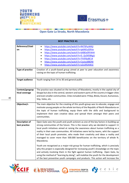



**The Company's Company's Company's Company's Company's Company's Company's Company's Company's Company's Company** 

#### **Open Gate La Strada, North Macedonia** <u>and with a great section of the second with the second with the second section of the second second sections.</u>

|                                        | <b>BEST PRACTICE #1</b>                                                                                                                                                                                                                                                                                                                                                                                                                                                                                                                                                                                                              |
|----------------------------------------|--------------------------------------------------------------------------------------------------------------------------------------------------------------------------------------------------------------------------------------------------------------------------------------------------------------------------------------------------------------------------------------------------------------------------------------------------------------------------------------------------------------------------------------------------------------------------------------------------------------------------------------|
| Reference/Citati<br>on                 | https://www.youtube.com/watch?v=R47SPyzWKjl<br>$\bullet$<br>https://www.youtube.com/watch?v=ip64iEuG9Vw<br>https://www.youtube.com/watch?v=bXBEeERYAH4<br>https://www.youtube.com/watch?v=D_QcD058kgU<br>https://www.youtube.com/watch?v=7tVERjsBE14<br>https://www.youtube.com/watch?v=CwJxoi8BDNI<br>https://www.youtube.com/watch?v=oZsiJ95AWLE                                                                                                                                                                                                                                                                                   |
| <b>Type of practice</b>                | Creation of a youth-based group aimed at peer to peer education and awareness<br>raising on the topic of human trafficking                                                                                                                                                                                                                                                                                                                                                                                                                                                                                                           |
| <b>Target audience</b>                 | Youth ranging from 14 to 30 and general public                                                                                                                                                                                                                                                                                                                                                                                                                                                                                                                                                                                       |
| Context/geograp<br>hical coverage      | The practice was situated on the territory of Macedonia, mostly in the capital city of<br>Skopje but also in the central, western and eastern parts of the country in bigger cities<br>and even smaller communities. Cities included were: Prilep, Bitola, Kocani, Kumanovo,<br>Stip, Veles, etc.                                                                                                                                                                                                                                                                                                                                    |
| Objective/s                            | The main objective for the creating of this youth-group was to educate, engage and<br>motivate young people on the whole territory of the Republic of North Macedonia on<br>the topic of human trafficking, equip them with the skills and background to<br>implement their own creative ideas and spread them amongst their peers and<br>communities.                                                                                                                                                                                                                                                                               |
| <b>Description of</b><br>best practice | Open Gate sees the youth and youth activism as one of the key factors in building up<br>strong communities of the future. This is the reason why we decided to support 11<br>local youth initiatives aimed at raising the awareness about human trafficking as a<br>reality in their own communities. All initiatives were led by teams, whit the support<br>of their local youth promoter, who made their creativity and ideas a reality and<br>managed to cover more than 500.000 beneficiaries on the territory of whole N.<br>Macedonia.<br>Youth are recognized as a major-risk group for human trafficking, which is precisely |
|                                        | why this project is especially designed for increasing youth's knowledge on the topic<br>and actively involving them in the fight against human trafficking. Open Gate, by<br>using the method of "learning by doing", will mobilize the youth for the development<br>of the best preventive youth campaigns and products. This action will increase the                                                                                                                                                                                                                                                                             |







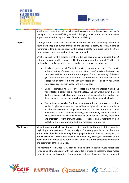



|                   | youth's involvement in civic activities with considerable influence over the peer's<br>perception of human trafficking as well as bringing public attention and innovative<br>approaches of addressing the risks of human trafficking.                                                                                                                                                                                                                                                                                                            |  |  |
|-------------------|---------------------------------------------------------------------------------------------------------------------------------------------------------------------------------------------------------------------------------------------------------------------------------------------------------------------------------------------------------------------------------------------------------------------------------------------------------------------------------------------------------------------------------------------------|--|--|
| Impact            | Through the first part of this project Open Gate managed to intensively educate 45<br>youth on the topic of human trafficking and violence in depth, its forms, means of<br>recruitment, definitions and etc all with a specific goal to help guide them thru their<br>future projects and develop their ideas in a right path.                                                                                                                                                                                                                   |  |  |
|                   | What is special for this project is that we did not have one single impact, but 12<br>different outcomes which impacted 12 different communities through 12 different<br>tools and events. Amongst the more effective and creative campaigns were:                                                                                                                                                                                                                                                                                                |  |  |
|                   | A fully produced short 20 minute movie based on a true story - The movie<br>followed a story of one of the previous victims that Open Gate sheltered, the<br>story was modified in order for it not to give off the true identity of the real<br>girl. It had one official premiere, in the museum of contemporary art in<br>Skopje, which gathered more than 100 people and 4 side showings which<br>were organized in a high school and in a local bar.                                                                                         |  |  |
|                   | Original interactive theatre play - based on 3 real life stories making the<br>visitor feel as a part of the play and the story. The play was shown 6 times in<br>3 different cities each play gathering around 50 viewers. For the needs of the<br>theatre play an original soundtrack was distributed and an original script.                                                                                                                                                                                                                   |  |  |
|                   | One designer fashion line/clothing brand was produced as a way of promoting<br>workers' rights as an essential part of human rights with a special emphasis<br>on labour exploitation in the garment industry. The label produced 30 pieces<br>of clothing all with a symbolic meaning and embroidery and in 3 colours -<br>white, red and black. The final event was organized as a runway show with<br>and interactive room showing videos of public opinion regarding human<br>trafficking and 3 sculptures with strong messages from victims. |  |  |
| <b>Challenges</b> | When it comes to challenges the part that proved to be the most difficult was the<br>beginning of the planning of the campaigns. The young people tend to be more<br>interested in directly implementing the campaign and not in the first plenary part, so<br>at first it seemed like they were not sure about how they will organise themselves but<br>at the end they proved to be quite efficient and active in the direct implementation<br>and promotion of their activities.                                                               |  |  |
|                   | The mentors were divided into 2 groups – one being the ones who were responsible<br>for equipping the youngsters with the knowledge in creating a successful social media<br>campaign, along with creating of promotional materials, hashtags, slogans, targeted                                                                                                                                                                                                                                                                                  |  |  |







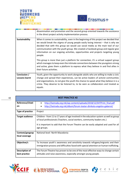



|                | dissemination and promotion and the second group oriented towards the assistance<br>in the direct project activity implementation process.                                                                                                                                                                                                                                                                                                          |
|----------------|-----------------------------------------------------------------------------------------------------------------------------------------------------------------------------------------------------------------------------------------------------------------------------------------------------------------------------------------------------------------------------------------------------------------------------------------------------|
| Sustainability | When it comes to sustainability, even in the beginning of this project we decided that<br>we would break the stigma of young people easily losing interest $-$ that is why we<br>decided that with this group we would use social media as the main tool of our<br>communication with the youth group. We created a Facebook group and regular give<br>information on our ongoing activities, opportunities and projects targeting young<br>people. |
|                | This group is more than just a platform for connection, it's a virtual support group<br>which manages to keep even the intimate connections between the youngsters strong<br>and active, gives them a platform to express what they believe in and find allies in<br>their future activities.                                                                                                                                                       |
| Conclusion /   | Youth, given the opportunity to work alongside adults who are willing to make a civic                                                                                                                                                                                                                                                                                                                                                               |
| Lessons learnt | change and spread their experiences, can be active leaders of activist communities<br>and organizations, to not give the youth the chance to speak what they believe in is a<br>crime. They deserve to be listened to, to be seen as collaborators and treated as<br>equals.                                                                                                                                                                        |

| <b>BEST PRACTICE #2</b>                |                                                                                                                                                                                                                                                                             |  |
|----------------------------------------|-----------------------------------------------------------------------------------------------------------------------------------------------------------------------------------------------------------------------------------------------------------------------------|--|
| Reference/Citati<br>on                 | http://lastrada.org.mk/wp-content/uploads/2018/12/SHTPrint final.pdf<br>$\bullet$<br>http://lastrada.org.mk/album/forum-teatar-dimkata-angelov-gaberot/<br>$\bullet$                                                                                                        |  |
| Type of practice                       | Project                                                                                                                                                                                                                                                                     |  |
| <b>Target audience</b>                 | Children - from 11 to 17 years of age involved in the education system as well as group<br>of local professionals (Teachers, social workers, community leaders etc.)<br>It is important to add that the Forum Theatre can be easily adapted and used for all<br>age groups. |  |
| Context/geograp<br>hical coverage      | National level- North Macedonia                                                                                                                                                                                                                                             |  |
| Objective/s                            | To Increase youth's awareness and sensitivity towards refugees/migrants and their<br>immigration process and difficulties faced with special attention on human trafficking.                                                                                                |  |
| <b>Description of</b><br>best practice | The Forum Theatre has proven to be one of the most effective ways to change certain<br>attitudes and raise awareness, especially amongst young people.                                                                                                                      |  |







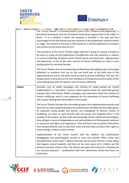



|        | The "Forum Theatre" is an activity which is part of the "Theatre of the Oppressed", a<br>theoretical framework and set of methods invented by Augusto Boal in the 1060's in<br>Brazil $-$ it is a method in which the audience is included in the play and thus<br>encouraged to find alternatives and new solutions to the problematic situation shown<br>on stage. The content of the play is often based on a real-life experience or situation<br>and written by the actors who are in it.                                                                                                                                                                                                                                                          |
|--------|---------------------------------------------------------------------------------------------------------------------------------------------------------------------------------------------------------------------------------------------------------------------------------------------------------------------------------------------------------------------------------------------------------------------------------------------------------------------------------------------------------------------------------------------------------------------------------------------------------------------------------------------------------------------------------------------------------------------------------------------------------|
|        | The procedure of the Forum Theatre began with the training of a group of pupils to<br>be actors in a play and the exploration of problematic and risky situations in relation<br>to human trafficking. Situations which should reveal social exclusion, stigmatization<br>and oppression as one of the main sources of human trafficking are used as main<br>guiding points for devising the play.                                                                                                                                                                                                                                                                                                                                                      |
|        | The Forum Theatre aims at empowering and liberating vulnerable groups, encourages<br>reflection on problems that are on the one hand part of the daily lives of the<br>oppressed group and on the other hand can lead to human trafficking. This way, the<br>project wants to do justice to the inter winedness of the general social situation of the<br>vulnerable groups with the specific risks of human trafficking.                                                                                                                                                                                                                                                                                                                               |
| Impact | Activities such as media campaigns and training for target groups are mostly<br>implemented in a "top down" manner, where experts teach the vulnerable groups<br>and give them information. Media campaigns raise awareness about the problem of<br>human trafficking, which is very important for the prevention of human trafficking<br>and a better dealing with the problem in the society.                                                                                                                                                                                                                                                                                                                                                         |
|        | The Forum Theatre includes the vulnerable groups in the implementation process and<br>thus tries to create equality between the professionals, the NGO and the target group.<br>As especially young people and women are endangered to become victims of<br>trafficking, we want to work directly with this group and integrate them in the<br>creation of the project. As their skills and knowledge will be needed and worshipped,<br>they will gain a sense of independence and self-confidence to find peaceful solutions<br>to overcome and fight social oppression. They will learn how to protect themselves<br>from being trafficked, how to raise their voice and seek help to protect their rights as<br>human beings, children and/or women. |
|        | Implementation of the forum theatre with the children and professionals<br>(pedagogues and psychologists), proved to have very positive effect. Some who<br>attended these events said: "I believe that your visit aroused interest in many things<br>that happen around students, and they are not even aware of it. Children are the<br>greatest and most sincere critics. The theatre was great and instructive. All praise, for<br>our and your pleasure." - professional staff from elementary school Koco Racin on<br>Kumanovo.                                                                                                                                                                                                                   |







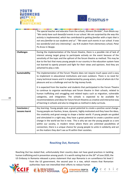



|                                       | The special teacher and educator from the school,, Kliment Ohridski", from Bitola say:<br>"We rarely have such beautiful events in our school. We are surprised by the way this<br>activity is implemented, which has contributed to getting familiar with a topic that is<br>not very familiar to our students and us". "We want such events in our school. It was<br>too wonderful and very interesting", say N.N student from elementary school, Petar<br>Po Arsov in Skopje.                                                                                                                                                                                                             |
|---------------------------------------|----------------------------------------------------------------------------------------------------------------------------------------------------------------------------------------------------------------------------------------------------------------------------------------------------------------------------------------------------------------------------------------------------------------------------------------------------------------------------------------------------------------------------------------------------------------------------------------------------------------------------------------------------------------------------------------------|
| <b>Challenges</b>                     | During the implementation of the forum theatre, there is a possible risk of lack of<br>interest among target group to participate actively on the event because of the<br>sensitivity of the topic and the upfront of the forum theatre as method. This may be<br>due to the fact that many young people in our country in the education system have<br>not learned to openly present and fight for their views and opinions. And they are<br>ashamed to play a role.                                                                                                                                                                                                                        |
| <b>Sustainability</b>                 | The implementation of the Forum Theatre does not require much space and is easy<br>to implement in educational institutions and even outdoors. There is no need for<br>many technical means and it is implemented by young actors, most of whom do it for<br>pleasure and as a challenge and not for big money funds.                                                                                                                                                                                                                                                                                                                                                                        |
|                                       | It is expected from the teacher and students that participated in the Forum Theatre<br>to continue to organize workshops and forum theatre in their schools, related to<br>human trafficking and smuggling and related topics such as migration, vulnerable<br>categories, and integration. The schools is expected to be available for<br>recommendations and ideas for future forum theatres as creative and interactive way<br>of learning in schools and also to integrate as method in daily curricula.                                                                                                                                                                                 |
| Conclusion /<br><b>Lessons learnt</b> | Key learning: Young people own a great potential to create a positive social change.<br>Young people are fearless, brave, dynamic, highly motivated and they have the ideas,<br>the creativity and great energy to shape a better world. If young people are guided<br>and stimulated in a right way, they have a great potential to create a positive social<br>change in the world we live in now. This is why we see the young people as a core<br>within our society, in modern times where there are unlimited possibilities of<br>connection, there is a unique chance for young people to unite in solidarity and act<br>on the matters they don't see as fit within their societies. |

#### **Reaching Out, Romania**

Reaching Out has stated that, unfortunately their country does not have good practices in tackling human trafficking and in prevention among youth. It is worth noting that on the 26<sup>th</sup> of June 2020, the US Embassy in Romania released a press statement that says Romania is on surveillance list level 2



authorities have not intensified their efforts to reduce human

**ACHING** 





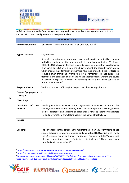



<u> 1989 - Francisco Hermann, francisco est antiga de la contenentación de la contenentación de la contenentación</u> trafficking. Reason why the Romanian partner purpose its own organisation as a good example of good practice in its country and provides a subsequent analysis.

| <b>BEST PRACTICE #1</b>                   |                                                                                                                                                                                                                                                                                                                                                                                                                                                                                                                                                                                                                                                                                          |  |
|-------------------------------------------|------------------------------------------------------------------------------------------------------------------------------------------------------------------------------------------------------------------------------------------------------------------------------------------------------------------------------------------------------------------------------------------------------------------------------------------------------------------------------------------------------------------------------------------------------------------------------------------------------------------------------------------------------------------------------------------|--|
| <b>Reference/Citation</b>                 | Iana Matei, De vanzare: Mariana, 15 ani, Ed. Rao, 2011 <sup>18</sup>                                                                                                                                                                                                                                                                                                                                                                                                                                                                                                                                                                                                                     |  |
| <b>Type of practice</b>                   | Organization.                                                                                                                                                                                                                                                                                                                                                                                                                                                                                                                                                                                                                                                                            |  |
|                                           | Romania, unfortunately, does not have good practices in tackling human<br>trafficking and in prevention among youth. It is worth noting that on 26 of June<br>2020, the US Embassy in Romania released a press statement that says Romania<br>is on surveilance list level 2 from the US government, the second year in a row,<br>which means that Romanian authorities have not intensified their efforts to<br>reduce human trafficking. Worse, the last governement did not pursue the<br>traffickers and organized crime heads, hence not many cases went to the courts<br>of justice. In regards to victims of trafficking there is not much concern or<br>protection for victims". |  |
| <b>Target audience</b>                    | Victims of human trafficking for the purpose of sexual exploitation                                                                                                                                                                                                                                                                                                                                                                                                                                                                                                                                                                                                                      |  |
| Context/geographical<br>coverage          |                                                                                                                                                                                                                                                                                                                                                                                                                                                                                                                                                                                                                                                                                          |  |
| Objective/s                               |                                                                                                                                                                                                                                                                                                                                                                                                                                                                                                                                                                                                                                                                                          |  |
| <b>Description</b><br>of best<br>practice | Reaching Out Romania - we are an organization that strives to protect the<br>victims, identify the victims, identify the risk factors for potential victims, provide<br>medical assistance and access to education for victims, so that they can restart<br>life and prevent them from falling again in the hands of traffickers.                                                                                                                                                                                                                                                                                                                                                        |  |
| Impact                                    |                                                                                                                                                                                                                                                                                                                                                                                                                                                                                                                                                                                                                                                                                          |  |
| <b>Challenges</b>                         | The current challenges consist in the fact that the Romanian governments do not<br>sustain programs for victim protection and do not fund NGOs active in this field.<br>The US Embassy Report on Human Trafficking in Romania for 2019 <sup>19</sup> points that<br>"the government decreased efforts to protect victims." There have been<br>identified 497 victims in 2018 <sup>20</sup> .                                                                                                                                                                                                                                                                                             |  |

<sup>18</sup> <https://booknation.ro/recenzie-de-vanzare-mariana-15-ani-de-iana-matei/>

<sup>19</sup> <https://ro.usembassy.gov/2019-trafficking-in-persons-report/>

20[https://www.researchgate.net/publication/336847955\\_Trafficking\\_of\\_human\\_beings\\_in\\_Romania\\_497\\_regi](https://www.researchgate.net/publication/336847955_Trafficking_of_human_beings_in_Romania_497_registered_victims_and_130_convicted_traffickers/link/5db6c689299bf111d4d51e70/download) [stered\\_victims\\_and\\_130\\_convicted\\_traffickers/link/5db6c689299bf111d4d51e70/download](https://www.researchgate.net/publication/336847955_Trafficking_of_human_beings_in_Romania_497_registered_victims_and_130_convicted_traffickers/link/5db6c689299bf111d4d51e70/download)







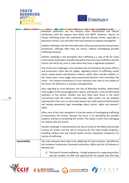



|                       | Romanian authorities use the national victim identification and referral<br>mechanism, with the support from NGOs and ANITP. However, reports on<br>human trafficking show that authorities did not identify victims, especially in<br>placement centers, but only after there was already an ongoing investigation.                                                                                                                                                                                  |
|-----------------------|-------------------------------------------------------------------------------------------------------------------------------------------------------------------------------------------------------------------------------------------------------------------------------------------------------------------------------------------------------------------------------------------------------------------------------------------------------------------------------------------------------|
|                       | Another challenge is the fact that authorities still prosecute persons who practice<br>prostitution, although often they are minors, without investigating possible<br>trafficking networks.                                                                                                                                                                                                                                                                                                          |
|                       | Another challenge is the perception that trafficking is a way of life for some<br>communities and people, and often the police knows the local traffickers and the<br>victims, but fail to act, even in cases when they have a registered complaint.                                                                                                                                                                                                                                                  |
|                       | One of the main challenges is the complete lack of training for the police officers<br>and prosecutors, often also for judges, regarding victims of trafficking, sexual<br>abuse, sexual assault and domestic violence, which often includes children. In<br>the recent years, more judges have pronounced decisions that criminalize the<br>victim - for instance motivations of court decisions that refer to the clothes of<br>the victim, her behaviour or previous entanglements.                |
|                       | Also, regarding to court decisions, the lack of detention facilities, determined<br>many judges to free sexual aggressors, rapists, and abusers, some of them being<br>members of the victims' families and sent them back home in the same<br>environment with the victims. Unfortunately, often victims are not properly<br>represented in the court, as many state lawyers are under paid and disinterested<br>and lacking elementary legal knowledge about victims' rights and womens'<br>rights. |
|                       | Often, one of the main complaints is that the system of investigating trafficking<br>re-traumatizes the victims, because the focus is on identifying the possible<br>suspects, and less on protecting the victims. This aspect is even more damaging<br>for children who are victims.                                                                                                                                                                                                                 |
|                       | Another challenge is represented by the lack of funds for the NGOs that provide<br>services for victims and the lack of resources for the state funded programs,<br>including medical care and mental health services absolutely compulsory for<br>victims of trafficking.                                                                                                                                                                                                                            |
| <b>Sustainability</b> | The main elements that need to be addressed for best practices, identified by<br>the European Commission, Romanian authorities, NGOs and the US Embassy in<br>Romania are:                                                                                                                                                                                                                                                                                                                            |
|                       | The level of societal wellbeing - though programs for supporting victims<br>1)<br>and job creation, to offer real opportunities for people who feel they                                                                                                                                                                                                                                                                                                                                              |







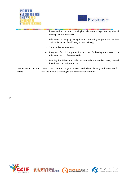



|                         | have no other choice and take higher risks by enrolling to working abroad<br>through various networks.                        |
|-------------------------|-------------------------------------------------------------------------------------------------------------------------------|
|                         | 2) Education for changing perceptions and informing people about the risks<br>and implications of trafficking in human beings |
|                         | 3) Stronger law enforcement                                                                                                   |
|                         | 4) Programs for victim protection and for facilitating their access to<br>education and professional skills                   |
|                         | 5) Funding for NGOs who offer accommodation, medical care, mental<br>health services and protection.                          |
| Conclusion /<br>Lessons | There is no coherent, long-term vision with clear planning and measures for                                                   |
| learnt                  | tackling human trafficking by the Romanian authorities.                                                                       |
|                         |                                                                                                                               |







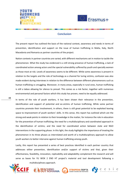



\_\_\_\_\_

#### **Conclusion**

The present report has outlined the basis of the national context, awareness and needs in terms of prevention, identification and support on the issue of human trafficking in Malta, Italy, North Macedonia and Romania as partner countries of the project.

Nation contexts in partner countries are varied, with different mechanisms set in motion to tackle the phenomenon. What the study has evidenced is a still strong presence of human trafficking, a lack of coordinated action among actors and the special vulnerability suffered by youth and specially women as those most at risk. Levels of awareness seems to be different. While some awareness is present in relation to the targets and the role of technology as a channel for luring victims, confusion was also made evident during interviews in relation to the difference between different phenomenons such as human trafficking vs smuggling. Moreover, in many areas, especially in rural ones, human trafficking is still a taboo allowing for silence to prevail. This comes as a risk factor, together with numerous environmental and personal factors which this study has proven, need to be equally addressed.

In terms of the role of youth workers, it has been shown their relevance in the prevention, identification and support of potential and ex-victims of human trafficking. While some partner countries promote their involvement, in others, there is still great potential to be exploited leaving space to improvement of youth workers' skills. In this sense, this report has outlined which are the strong and weak points in relation to their knowledge in the matter, for instance the role in education for the prevention of human trafficking; the need for a multidisciplinary and coordinated approach in the identification of victims; and the need for coordinated action between state and NGO interventions in the supporting phase. In this light, the study highlights the importance of treating the phenomenon in its three phases as interrelated and worth of a multidisciplinary approach to allow youth workers to better intervene against human trafficking among youth.

Lastly, this report has presented a series of best practices identified in each partner country that addresses either prevention, identification and/or support of victims and that, given their effectiveness, feasibility, innovation, replicability and adaptability complement the research and will serve as bases for YU WOK 2 END HT project's material and tool development following a







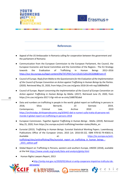



#### **References**

- Appeal of the US Ambassador in Romania calling for cooperation between the government and the parliament of Romania
- Communication from the European Commission to the European Parliament, the Council, the European Economic and Social Committee and the Committee of the Regions - The EU Strategy towards the Eradication of Trafficking in Human Beings 2012–2016 <https://eur-lex.europa.eu/legal-content/EN/TXT/PDF/?uri=CELEX:52012DC0286&from=IT>
- Council of Europe. *Reply from Malta to the Questionnaire for the Evaluation of the Implementation of the Council of Europe Convention on Action against Trafficking in Human Beings by the Parties*. (2020). Retrieved May 25, 2020, from https://rm.coe.int/greta-2018-26-mlt-rep/16809e0fe2
- Council of Europe. *Report concerning the implementation of the Council of Europe Convention on Action against Trafficking in Human Beings by Malta*. (2017). Retrieved June 25, 2020, from https://rm.coe.int/greta-2017-3-fgr-mlt-en-w-cmts/1680782abd
- Data and numbers on trafficking in people in the world: global report on trafficking in persons in 2018, Silvia Bernardi, 23 Gennaio 2019, Contemporary Criminal Law, Archive 2010 - 2019 [https://archiviodpc.dirittopenaleuomo.org/d/6442-dati-e-numeri-sulla-tratta-di-persone-nel](https://archiviodpc.dirittopenaleuomo.org/d/6442-dati-e-numeri-sulla-tratta-di-persone-nel-mondo-il-global-report-on-trafficking-in-persons-2018)[mondo-il-global-report-on-trafficking-in-persons-2018](https://archiviodpc.dirittopenaleuomo.org/d/6442-dati-e-numeri-sulla-tratta-di-persone-nel-mondo-il-global-report-on-trafficking-in-persons-2018)
- European Commission. *Together Against Trafficking in Human Beings - Malta*. (2019). Retrieved May 25, 2020, from https://ec.europa.eu/anti-trafficking/member-states/Malta\_en
- Eurostat (2015). *Trafficking in Human Beings*. Eurostat Statistical Working Papers. Luxembourg: Publications Office of the European Union, 2015 [cit. 2016-03-22]. ISBN 978-92-79-45831-6. Available at: [https://ec.europa.eu/anti](https://ec.europa.eu/anti-trafficking/sites/antitrafficking/files/eurostat_report_on_trafficking_in_human_beings_-_2015_edition.pdf)[trafficking/sites/antitrafficking/files/eurostat\\_report\\_on\\_trafficking\\_in\\_human\\_beings\\_-](https://ec.europa.eu/anti-trafficking/sites/antitrafficking/files/eurostat_report_on_trafficking_in_human_beings_-_2015_edition.pdf) [\\_2015\\_edition.pdf](https://ec.europa.eu/anti-trafficking/sites/antitrafficking/files/eurostat_report_on_trafficking_in_human_beings_-_2015_edition.pdf)
- Global Report on Trafficking in Persons, western and southern Europe, UNODC (2018), available at the link<https://www.unodc.org/unodc/data-and-analysis/glotip.html>
- Human Rights Lawyers Report, 2013

●[http://anitp.mai.gov.ro/2020/02/diicot-si-anitp-cooperare-impotriva-traficului-de](http://anitp.mai.gov.ro/2020/02/diicot-si-anitp-cooperare-impotriva-traficului-de-persoane/)[persoane/](http://anitp.mai.gov.ro/2020/02/diicot-si-anitp-cooperare-impotriva-traficului-de-persoane/)



**ОТВОРЕНА ПОРТА** 



S.

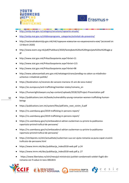



- <http://anitp.mai.gov.ro/category/cercetare/rapoarte-anuale/>
- [http://anitp.mai.gov.ro/childrenprograms\\_categories/activitati-de-prevenire/](http://anitp.mai.gov.ro/childrenprograms_categories/activitati-de-prevenire/)
- [http://nacionalnakomisija.gov.mk/mk/годишни](http://nacionalnakomisija.gov.mk/mk/%D0%B3%D0%BE%D0%B4%D0%B8%D1%88%D0%BD%D0%B8-%D0%B8%D0%B7%D0%B2%D0%B5%D1%88%D1%82%D0%B0%D0%B8-%D0%BD%D0%B0-%D0%BD%D0%B0%D1%86%D0%B8%D0%BE%D0%BD%D0%B0%D0%BB%D0%BD%D0%B0%D1%82%D0%B0-%D0%BA%D0%BE%D0%BC/)-извештаи-на-националната-ком/ (accessed on 13 March 2020)
- [http://www.esem.org.mk/pdf/Publikacii/2020/Sostojbata%20so%20trgovijata%20so%20lugje.p](http://www.esem.org.mk/pdf/Publikacii/2020/Sostojbata%20so%20trgovijata%20so%20lugje.pdf) [df](http://www.esem.org.mk/pdf/Publikacii/2020/Sostojbata%20so%20trgovijata%20so%20lugje.pdf)
- <http://www.stat.gov.mk/PrikaziSoopstenie.aspx?rbrtxt=11>
- <http://www.stat.gov.mk/PrikaziSoopstenie.aspx?rbrtxt=115>
- <http://www.stat.gov.mk/PrikaziSoopstenie.aspx?rbrtxt=98>
- [http://www.zakonzamladi.ams.gov.mk/nekategorizirano/predlog-na-zakon-za-mladinsko](http://www.zakonzamladi.ams.gov.mk/nekategorizirano/predlog-na-zakon-za-mladinsko-uchestvo-i-mladinski-politiki/)[uchestvo-i-mladinski-politiki/](http://www.zakonzamladi.ams.gov.mk/nekategorizirano/predlog-na-zakon-za-mladinsko-uchestvo-i-mladinski-politiki/)
- https://booknation.ro/recenzie-de-vanzare-mariana-15-ani-de-iana-matei/
- https://ec.europa.eu/anti-trafficking/member-states/romania\_en
- https://humanrightslawyers.eu/wp-content/uploads/2018/10/Project-Presentation.pdf
- https://publications.iom.int/books/vulnerability-young-romanian-women-trafficking-humanbeings
	- https://publications.iom.int/system/files/pdf/who\_next\_victim\_0.pdf
- https://ro.usembassy.gov/2019-trafficking-in-persons-report/
- https://ro.usembassy.gov/2019-trafficking-in-persons-report/
- https://ro.usembassy.gov/ro/ambasadorul-adrian-zuckerman-cu-privire-la-publicarearaportului-privind-traficul-de-persoane/
- https://ro.usembassy.gov/ro/ambasadorul-adrian-zuckerman-cu-privire-la-publicarearaportului-privind-traficul-de-persoane/
- https://stirileprotv.ro/stiri/actualitate/zuckerman-sua-vor-ajuta-romania-sa-puna-capat-zrusiniitraficului-de-persoane.html
- [https://www.imrm.mk/doc/publikacija\\_Index2018-web.pdf](https://www.imrm.mk/doc/publikacija_Index2018-web.pdf) p.24
- [https://www.imrm.mk/doc/publikacija\\_Index2018-web.pdf p..27](https://www.imrm.mk/doc/publikacija_Index2018-web.pdf%20p..27)
- https://www.libertatea.ro/stiri/mesajul-ministrului-justitiei-condamnatii-celebri-fugiti-dinromania-vor-fi-adusi-in-tara-3061815







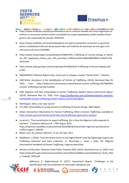



- https://www.mediafax.ro/politic/ambasadorul-sua-in-romania-bandele-de-crima-organizata-autraficat-cu-nerusinare-oameni-stiind-ca-probabil-vor-scapa-nepedepsite-catalin-predoiu-fostulguvern-psd-responsabil-de-situatie-19344163
- https://www.mediafax.ro/social/ambasadorul-sua-apel-la-parlament-sa-lucreze-cu-guvernulpentru-combaterea-traficului-de-persoane-daca-esti-traficant-de-persoane-te-vom-gasi-si-tevom-pune-sub-arest-19343983
- https://www.researchgate.net/publication/336847955 Trafficking of human beings in Roma nia\_497\_registered\_victims\_and\_130\_convicted\_traffickers/link/5db6c689299bf111d4d51e70/ download
- [https://www.state.gov/wp-content/uploads/2019/06/2019-Trafficking-in-Persons-Report.pdf.](https://www.state.gov/wp-content/uploads/2019/06/2019-Trafficking-in-Persons-Report.pdf) p.360
- INNO4IMPACT National Report-Italy, Centro per lo sviluppo creativo "Danilo Dolci" Palermo
- IOM Malta. *Assistance in the Identification of Victims of Trafficking*. (2016). Retrieved May 25, 2020, from https://malta.iom.int/assistance-identification-victims-trafficking-%E2%80%93 counter-trafficking-training-modules
- IOM. *Migrants and their Vulnerability to Human Trafficking, Modern Slavery and Forced Labour*. (2019). Retrieved May 25, 2020, from [https://publications.iom.int/books/migrants-and-their](https://publications.iom.int/books/migrants-and-their-vulnerability-human-trafficking-modern-slavery-and-forced-labour)[vulnerability-human-trafficking-modern-slavery-and-forced-labour](https://publications.iom.int/books/migrants-and-their-vulnerability-human-trafficking-modern-slavery-and-forced-labour)
- IOM Report, Who is the next victim?
- 17) IOM, Vulnerability of young women in trafficking of human beings, 2003 Report
- Italian Intervention Observatory for Human Trafficking, *What is Human Trafficking*, available at: <https://www.osservatoriointerventitratta.it/en/trafficking-observatory-project/>
- Lucarino S. "From prostitution to organ trafficking: this is how the Nigerian mafia expands its business". L'Espresso web journal – 29th August 2019 https://espresso.repubblica.it/plus/articoli/2019/08/28/news/mafia-nigeriana-prostituzionetraffico-organi-1.338159
- Matei, Iana, De vanzare: Mariana, 15 ani, Ed. Rao, 2011
- Middleton, J. (2019). From the Street Corner to the Digital World: How the Digital Age Impacts Sex Trafficking Detection and Data Collection. In: Winterdyk J., Jones J. (eds) *The Palgrave International Handbook of Human Trafficking*. Palgrave Macmillan.
- Ministry of Education. *National Youth Policy Towards 2020*. (2015). Retrieved June 12, 2020, from https://education.gov.mt/en/resources/Documents/Policy%20Documents/National\_Youth\_Polic y\_Towards\_2020.pdf
	- ●Mirceva, S., Rajkovchevski, R. (2017), Assessment Report: "Challenges in the identification and the protection of vulnerable individuals and





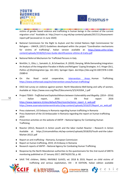



victims of gender based violence and trafficking in human beings in the context of the current migration crisis" Available at: [http://marri-rc.org.mk/wp-content/uploads/2017/11/Assessment](http://marri-rc.org.mk/wp-content/uploads/2017/11/Assessment-report.pdf)[report.pdf](http://marri-rc.org.mk/wp-content/uploads/2017/11/Assessment-report.pdf) (accessed on 11 June 2020)

- National Commission for the Right to Asylum and the United Nations High Commissioner for Refugees – UNHCR, (2017) Guidelines developed within the project "Coordination mechanisms for victims of trafficking", Italian version available at: [https://www.unhcr.it/wp](https://www.unhcr.it/wp-content/uploads/2018/02/Linee-Guida-identificazione-vittime-di-tratta.pdf)[content/uploads/2018/02/Linee-Guida-identificazione-vittime-di-tratta.pdf](https://www.unhcr.it/wp-content/uploads/2018/02/Linee-Guida-identificazione-vittime-di-tratta.pdf)
- National Referral Mechanism for Trafficked Persons in Italy
- Nimführ, S., Otto, L., Samateh, G., & Schweitzer, R. (2020). Denying, While Demanding Integration: An Analysis of the Integration Paradox in Malta and Refugees' Coping Strategies. In S. Hinger (Ed.), *Politics of (Dis)Integration* (pp. 161-181). Springer Open. doi:https://doi.org/10.1007/978-3-030- 25089-8
- On the Road social cooperative, [Intervention Areas](https://www.ontheroad.coop/en/intervention-areas/) , Human Trafficking; <https://www.ontheroad.coop/en/intervention-areas/human-trafficking/>
- OSCE-led survey on violence against women: North Macedonia-Well-being and safty of women, Available at[: https://www.osce.org/files/f/documents/3/5/419264\\_1.pdf](https://www.osce.org/files/f/documents/3/5/419264_1.pdf)
- Project TEMVI *Trafficked and Exploited Minors between Vulnerability and Illegality.* (2014 2016) – Italian report, 2016 ; EN final report 2016 [https://www.ingenere.it/sites/default/files/ricerche/temvi\\_report\\_it\\_web.pdf](https://www.ingenere.it/sites/default/files/ricerche/temvi_report_it_web.pdf) [https://www.osservatoriointerventitratta.it/wp-content/uploads/2016/07/Report\\_en\\_web.pdf](https://www.osservatoriointerventitratta.it/wp-content/uploads/2016/07/Report_en_web.pdf)
- Press statement, US Embassy in Romania regarding human trafficking in Romania
- Press Statement of the US Ambassador in Romania regarding the report on human trafficking 2019
- Prevention activities on the website of ANTIP National Agency for Combating Human **Trafficking**
- Reactor (2012), Research in Action youth and the labor market Reactor Research in Action Available at: [https://civicamobilitas.mk/wp-content/uploads/2018/03/Youth-and-the-Labor-](https://civicamobilitas.mk/wp-content/uploads/2018/03/Youth-and-the-Labor-Market-20121.pdf)[Market-20121.pdf](https://civicamobilitas.mk/wp-content/uploads/2018/03/Youth-and-the-Labor-Market-20121.pdf)
- Report on anti-trafficking Romania, European Commission
- Report on human trafficking, 2019, US Embassy in Romania
- Research reports of ANTIP National Agency for Combating Human Trafficking
- Response by the North Macedonian authorities to the questionnaire for the 2nd round of GRETA monitoring published on 27 January 2017, GRETA(2017)6, p. 60.
- SAVE THE children, SMALL INVISIBLE SLAVES, ed. 2018 & 2019, Report on child victims of trafficking and serious exploitation, VIII - IX EDITION, Italian edition available







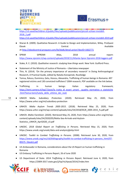



[https://s3.savethechildren.it/public/files/uploads/pubblicazioni/piccoli-schiavi-invisibili-](https://s3.savethechildren.it/public/files/uploads/pubblicazioni/piccoli-schiavi-invisibili-2018_2.pdf)[2018\\_2.pdf](https://s3.savethechildren.it/public/files/uploads/pubblicazioni/piccoli-schiavi-invisibili-2018_2.pdf)

<https://s3.savethechildren.it/public/files/uploads/pubblicazioni/piccoli-schiavi-invisibili-2019.pdf>

- Sharan B. (2009). Qualitative Research: A Guide to Design and Implementation, Wiley. ProQuest Ebook **Central.** Central. Central Central Central Context Central Available at[:http://ebookcentral.proquest.com/lib/kbdk/detail.action?docID=1662771](http://ebookcentral.proquest.com/lib/kbdk/detail.action?docID=1662771)
- SPRAR SIPROMI Atlas, 2018 annual report: <https://www.siproimi.it/wp-content/uploads/2019/11/Atlante-Sprar-Siproimi-2018-leggero.pdf>
- Stake, R. E. (2010). *Qualitative research: studying how things work*. New York: Guilford Press.
- Statement of the Ministry of Justice of Romania Libertatea newspaper
- Thin, N. (2014). 'On the primary importance of secondary research' in Doing Anthropological Research, A Practical Guide, edited by Natalia Konopinski, Routledge
- Tomsa, Raluca, Duminica, Gelu, Hosszu, Alexandra, Trafficking of human beings in Romania: 497 registered victims and 130 convicted traffickers? 2004 research, PDF available on the link below.
- Trafficking in human beings: Italian regulatory framework; [https://temi.camera.it/leg17/post/la\\_tratta\\_di\\_esseri\\_umani\\_\\_quadro\\_normativo\\_e\\_statistiche](https://temi.camera.it/leg17/post/la_tratta_di_esseri_umani__quadro_normativo_e_statistiche.html?tema=temi/tutela_delle_vittime_dei_reati) [.html?tema=temi/tutela\\_delle\\_vittime\\_dei\\_reati](https://temi.camera.it/leg17/post/la_tratta_di_esseri_umani__quadro_normativo_e_statistiche.html?tema=temi/tutela_delle_vittime_dei_reati)
- 53 ● UNHCR Malta. *Subsidiary Protection*. (2020). Retrieved May 25, 2020, from https://www.unhcr.org/mt/subsidiary-protection
	- UNHCR. *Malta Asylum Trends 2005-2015*. (2018). Retrieved May 25, 2020, from https://www.unhcr.org/mt/wp-content/uploads/sites/54/2018/05/8\_2005-2015\_fs.pdf.pdf
	- UNHCR. *Malta Factsheet*. (2020). Retrieved May 25, 2020, from https://www.unhcr.org/mt/wpcontent/uploads/sites/54/2020/05/Malta-Sea-Arrivals-and-Asylum-Statistics\_UNHCR\_April2020\_v3.pdf
	- UNODC. *2018 Global Report on Trafficking in Persons*. Retrieved May 15, 2020, from https://www.unodc.org/unodc/data-and-analysis/glotip.html
	- UNODC. *Toolkit to Combat Trafficking in Persons*. (2008). Retrieved June 30, 2020, from [https://www.unodc.org/res/cld/bibliography/toolkit-to-combat-trafficking-in-persons\\_html/07-](https://www.unodc.org/res/cld/bibliography/toolkit-to-combat-trafficking-in-persons_html/07-89375_Ebook1.pdf) [89375\\_Ebook1.pdf](https://www.unodc.org/res/cld/bibliography/toolkit-to-combat-trafficking-in-persons_html/07-89375_Ebook1.pdf)
	- US Ambassador in Romania, considerations about the US Report on human trafficking in Romania
	- US Embassy Trafficking in Persons Report, 26 of June 2020
	- US Department of State. *2014 Trafficking in Persons Report*. Retrieved June 4, 2020, from https://2009-2017.state.gov/j/tip/rls/tiprpt/2014//index.htm